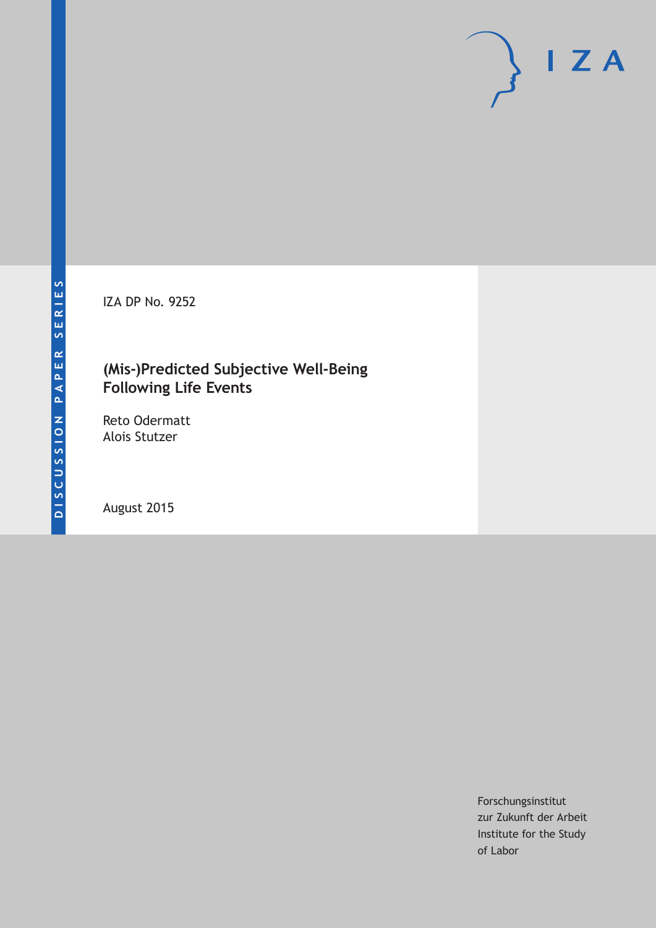IZA DP No. 9252

# **(Mis-)Predicted Subjective Well-Being Following Life Events**

Reto Odermatt Alois Stutzer

August 2015

Forschungsinstitut zur Zukunft der Arbeit Institute for the Study of Labor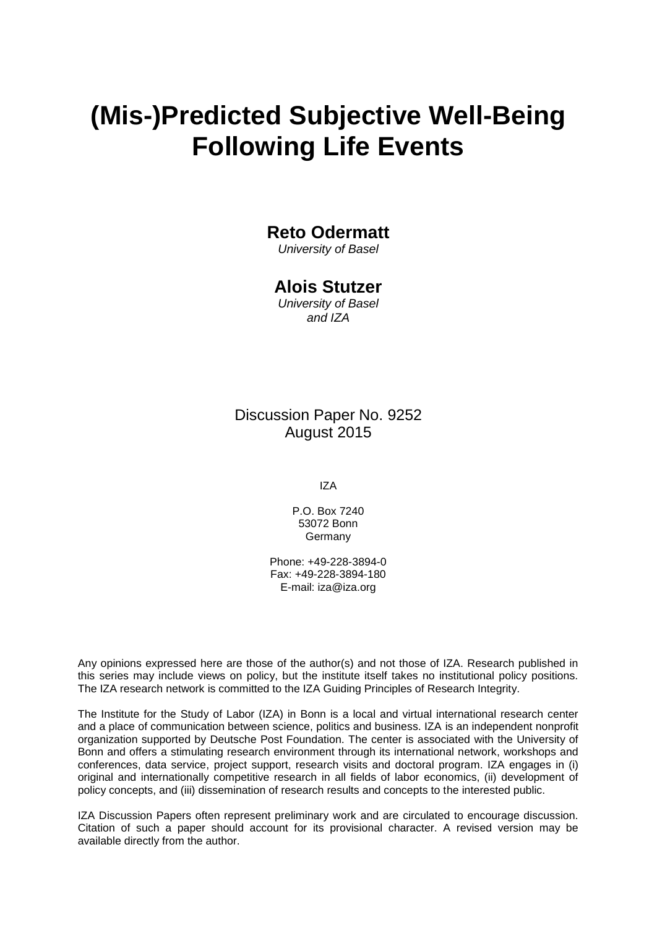# **(Mis-)Predicted Subjective Well-Being Following Life Events**

# **Reto Odermatt**

*University of Basel*

# **Alois Stutzer**

*University of Basel and IZA*

Discussion Paper No. 9252 August 2015

IZA

P.O. Box 7240 53072 Bonn Germany

Phone: +49-228-3894-0 Fax: +49-228-3894-180 E-mail: iza@iza.org

Any opinions expressed here are those of the author(s) and not those of IZA. Research published in this series may include views on policy, but the institute itself takes no institutional policy positions. The IZA research network is committed to the IZA Guiding Principles of Research Integrity.

The Institute for the Study of Labor (IZA) in Bonn is a local and virtual international research center and a place of communication between science, politics and business. IZA is an independent nonprofit organization supported by Deutsche Post Foundation. The center is associated with the University of Bonn and offers a stimulating research environment through its international network, workshops and conferences, data service, project support, research visits and doctoral program. IZA engages in (i) original and internationally competitive research in all fields of labor economics, (ii) development of policy concepts, and (iii) dissemination of research results and concepts to the interested public.

IZA Discussion Papers often represent preliminary work and are circulated to encourage discussion. Citation of such a paper should account for its provisional character. A revised version may be available directly from the author.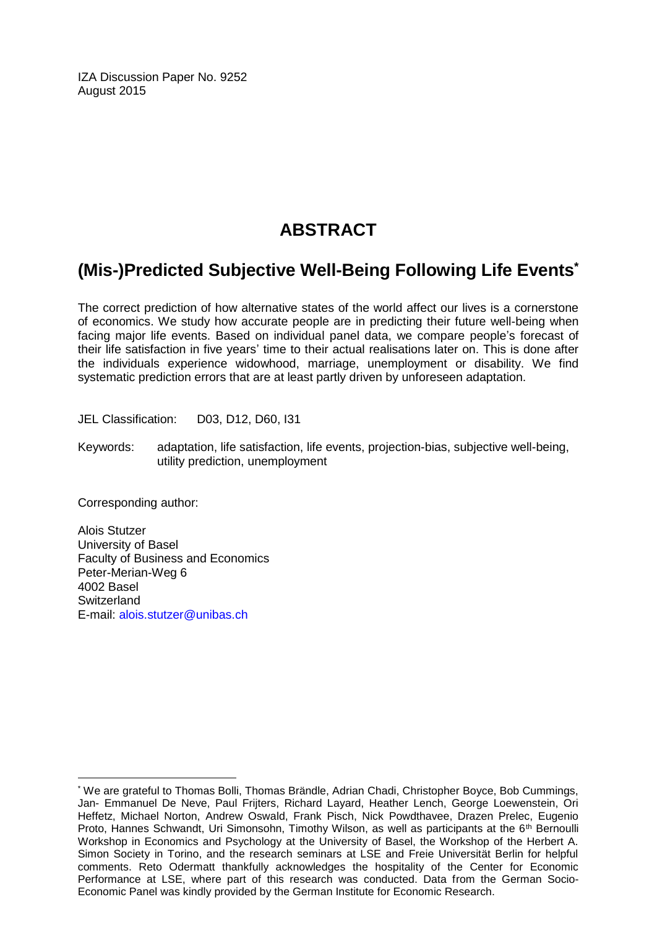IZA Discussion Paper No. 9252 August 2015

# **ABSTRACT**

# **(Mis-)Predicted Subjective Well-Being Following Life Events\***

The correct prediction of how alternative states of the world affect our lives is a cornerstone of economics. We study how accurate people are in predicting their future well-being when facing major life events. Based on individual panel data, we compare people's forecast of their life satisfaction in five years' time to their actual realisations later on. This is done after the individuals experience widowhood, marriage, unemployment or disability. We find systematic prediction errors that are at least partly driven by unforeseen adaptation.

JEL Classification: D03, D12, D60, I31

Keywords: adaptation, life satisfaction, life events, projection-bias, subjective well-being, utility prediction, unemployment

Corresponding author:

 $\overline{a}$ 

Alois Stutzer University of Basel Faculty of Business and Economics Peter-Merian-Weg 6 4002 Basel **Switzerland** E-mail: [alois.stutzer@unibas.ch](mailto:alois.stutzer@unibas.ch)

<sup>\*</sup> We are grateful to Thomas Bolli, Thomas Brändle, Adrian Chadi, Christopher Boyce, Bob Cummings, Jan- Emmanuel De Neve, Paul Frijters, Richard Layard, Heather Lench, George Loewenstein, Ori Heffetz, Michael Norton, Andrew Oswald, Frank Pisch, Nick Powdthavee, Drazen Prelec, Eugenio Proto, Hannes Schwandt, Uri Simonsohn, Timothy Wilson, as well as participants at the 6<sup>th</sup> Bernoulli Workshop in Economics and Psychology at the University of Basel, the Workshop of the Herbert A. Simon Society in Torino, and the research seminars at LSE and Freie Universität Berlin for helpful comments. Reto Odermatt thankfully acknowledges the hospitality of the Center for Economic Performance at LSE, where part of this research was conducted. Data from the German Socio-Economic Panel was kindly provided by the German Institute for Economic Research.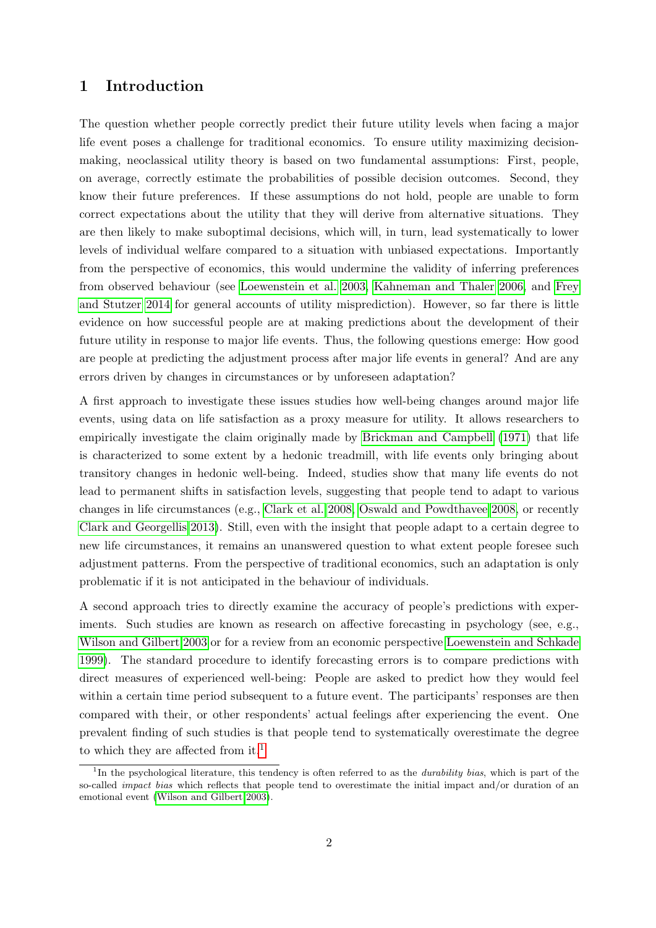# 1 Introduction

The question whether people correctly predict their future utility levels when facing a major life event poses a challenge for traditional economics. To ensure utility maximizing decisionmaking, neoclassical utility theory is based on two fundamental assumptions: First, people, on average, correctly estimate the probabilities of possible decision outcomes. Second, they know their future preferences. If these assumptions do not hold, people are unable to form correct expectations about the utility that they will derive from alternative situations. They are then likely to make suboptimal decisions, which will, in turn, lead systematically to lower levels of individual welfare compared to a situation with unbiased expectations. Importantly from the perspective of economics, this would undermine the validity of inferring preferences from observed behaviour (see [Loewenstein et al. 2003,](#page-26-0) [Kahneman and Thaler 2006,](#page-26-1) and [Frey](#page-25-0) [and Stutzer 2014](#page-25-0) for general accounts of utility misprediction). However, so far there is little evidence on how successful people are at making predictions about the development of their future utility in response to major life events. Thus, the following questions emerge: How good are people at predicting the adjustment process after major life events in general? And are any errors driven by changes in circumstances or by unforeseen adaptation?

A first approach to investigate these issues studies how well-being changes around major life events, using data on life satisfaction as a proxy measure for utility. It allows researchers to empirically investigate the claim originally made by [Brickman and Campbell](#page-25-1) [\(1971\)](#page-25-1) that life is characterized to some extent by a hedonic treadmill, with life events only bringing about transitory changes in hedonic well-being. Indeed, studies show that many life events do not lead to permanent shifts in satisfaction levels, suggesting that people tend to adapt to various changes in life circumstances (e.g., [Clark et al. 2008,](#page-25-2) [Oswald and Powdthavee 2008,](#page-26-2) or recently [Clark and Georgellis 2013\)](#page-25-3). Still, even with the insight that people adapt to a certain degree to new life circumstances, it remains an unanswered question to what extent people foresee such adjustment patterns. From the perspective of traditional economics, such an adaptation is only problematic if it is not anticipated in the behaviour of individuals.

A second approach tries to directly examine the accuracy of people's predictions with experiments. Such studies are known as research on affective forecasting in psychology (see, e.g., [Wilson and Gilbert 2003](#page-27-0) or for a review from an economic perspective [Loewenstein and Schkade](#page-26-3) [1999\)](#page-26-3). The standard procedure to identify forecasting errors is to compare predictions with direct measures of experienced well-being: People are asked to predict how they would feel within a certain time period subsequent to a future event. The participants' responses are then compared with their, or other respondents' actual feelings after experiencing the event. One prevalent finding of such studies is that people tend to systematically overestimate the degree to which they are affected from it.<sup>[1](#page-3-0)</sup>

<span id="page-3-0"></span><sup>&</sup>lt;sup>1</sup>In the psychological literature, this tendency is often referred to as the *durability bias*, which is part of the so-called *impact bias* which reflects that people tend to overestimate the initial impact and/or duration of an emotional event [\(Wilson and Gilbert 2003\)](#page-27-0).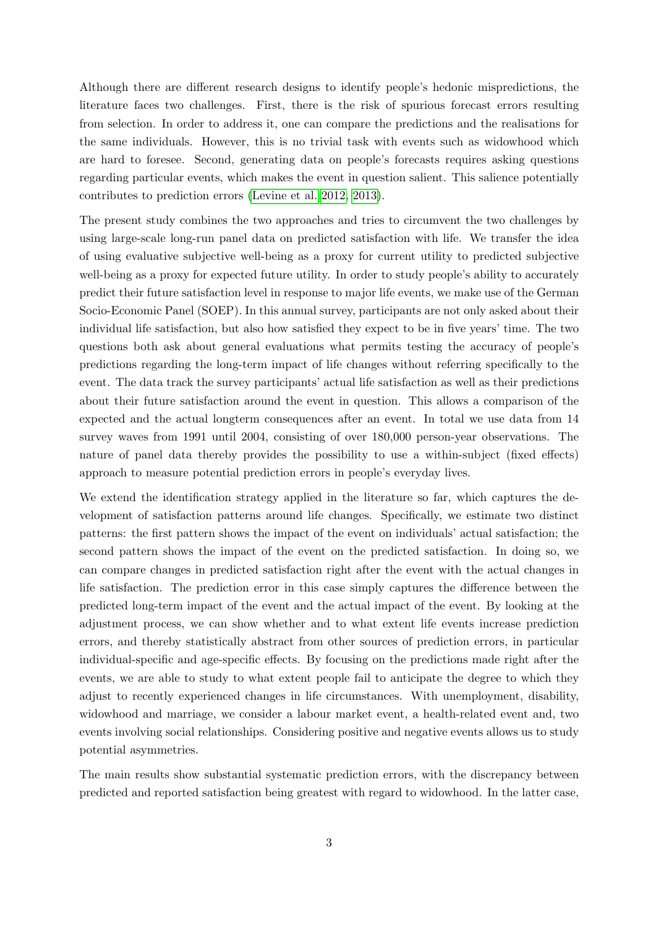Although there are different research designs to identify people's hedonic mispredictions, the literature faces two challenges. First, there is the risk of spurious forecast errors resulting from selection. In order to address it, one can compare the predictions and the realisations for the same individuals. However, this is no trivial task with events such as widowhood which are hard to foresee. Second, generating data on people's forecasts requires asking questions regarding particular events, which makes the event in question salient. This salience potentially contributes to prediction errors [\(Levine et al. 2012,](#page-26-4) [2013\)](#page-26-5).

The present study combines the two approaches and tries to circumvent the two challenges by using large-scale long-run panel data on predicted satisfaction with life. We transfer the idea of using evaluative subjective well-being as a proxy for current utility to predicted subjective well-being as a proxy for expected future utility. In order to study people's ability to accurately predict their future satisfaction level in response to major life events, we make use of the German Socio-Economic Panel (SOEP). In this annual survey, participants are not only asked about their individual life satisfaction, but also how satisfied they expect to be in five years' time. The two questions both ask about general evaluations what permits testing the accuracy of people's predictions regarding the long-term impact of life changes without referring specifically to the event. The data track the survey participants' actual life satisfaction as well as their predictions about their future satisfaction around the event in question. This allows a comparison of the expected and the actual longterm consequences after an event. In total we use data from 14 survey waves from 1991 until 2004, consisting of over 180,000 person-year observations. The nature of panel data thereby provides the possibility to use a within-subject (fixed effects) approach to measure potential prediction errors in people's everyday lives.

We extend the identification strategy applied in the literature so far, which captures the development of satisfaction patterns around life changes. Specifically, we estimate two distinct patterns: the first pattern shows the impact of the event on individuals' actual satisfaction; the second pattern shows the impact of the event on the predicted satisfaction. In doing so, we can compare changes in predicted satisfaction right after the event with the actual changes in life satisfaction. The prediction error in this case simply captures the difference between the predicted long-term impact of the event and the actual impact of the event. By looking at the adjustment process, we can show whether and to what extent life events increase prediction errors, and thereby statistically abstract from other sources of prediction errors, in particular individual-specific and age-specific effects. By focusing on the predictions made right after the events, we are able to study to what extent people fail to anticipate the degree to which they adjust to recently experienced changes in life circumstances. With unemployment, disability, widowhood and marriage, we consider a labour market event, a health-related event and, two events involving social relationships. Considering positive and negative events allows us to study potential asymmetries.

The main results show substantial systematic prediction errors, with the discrepancy between predicted and reported satisfaction being greatest with regard to widowhood. In the latter case,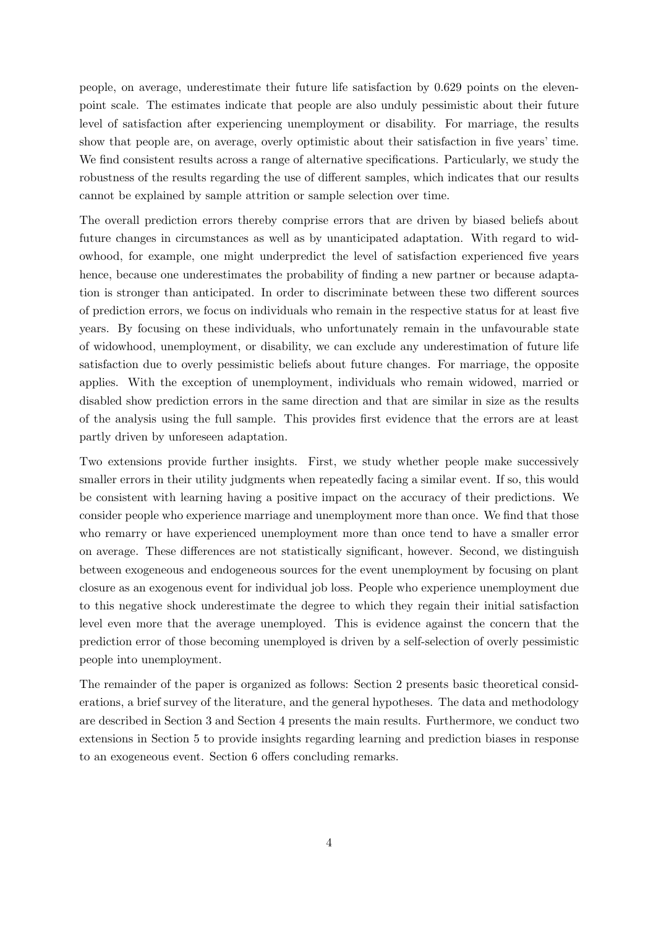people, on average, underestimate their future life satisfaction by 0.629 points on the elevenpoint scale. The estimates indicate that people are also unduly pessimistic about their future level of satisfaction after experiencing unemployment or disability. For marriage, the results show that people are, on average, overly optimistic about their satisfaction in five years' time. We find consistent results across a range of alternative specifications. Particularly, we study the robustness of the results regarding the use of different samples, which indicates that our results cannot be explained by sample attrition or sample selection over time.

The overall prediction errors thereby comprise errors that are driven by biased beliefs about future changes in circumstances as well as by unanticipated adaptation. With regard to widowhood, for example, one might underpredict the level of satisfaction experienced five years hence, because one underestimates the probability of finding a new partner or because adaptation is stronger than anticipated. In order to discriminate between these two different sources of prediction errors, we focus on individuals who remain in the respective status for at least five years. By focusing on these individuals, who unfortunately remain in the unfavourable state of widowhood, unemployment, or disability, we can exclude any underestimation of future life satisfaction due to overly pessimistic beliefs about future changes. For marriage, the opposite applies. With the exception of unemployment, individuals who remain widowed, married or disabled show prediction errors in the same direction and that are similar in size as the results of the analysis using the full sample. This provides first evidence that the errors are at least partly driven by unforeseen adaptation.

Two extensions provide further insights. First, we study whether people make successively smaller errors in their utility judgments when repeatedly facing a similar event. If so, this would be consistent with learning having a positive impact on the accuracy of their predictions. We consider people who experience marriage and unemployment more than once. We find that those who remarry or have experienced unemployment more than once tend to have a smaller error on average. These differences are not statistically significant, however. Second, we distinguish between exogeneous and endogeneous sources for the event unemployment by focusing on plant closure as an exogenous event for individual job loss. People who experience unemployment due to this negative shock underestimate the degree to which they regain their initial satisfaction level even more that the average unemployed. This is evidence against the concern that the prediction error of those becoming unemployed is driven by a self-selection of overly pessimistic people into unemployment.

The remainder of the paper is organized as follows: Section 2 presents basic theoretical considerations, a brief survey of the literature, and the general hypotheses. The data and methodology are described in Section 3 and Section 4 presents the main results. Furthermore, we conduct two extensions in Section 5 to provide insights regarding learning and prediction biases in response to an exogeneous event. Section 6 offers concluding remarks.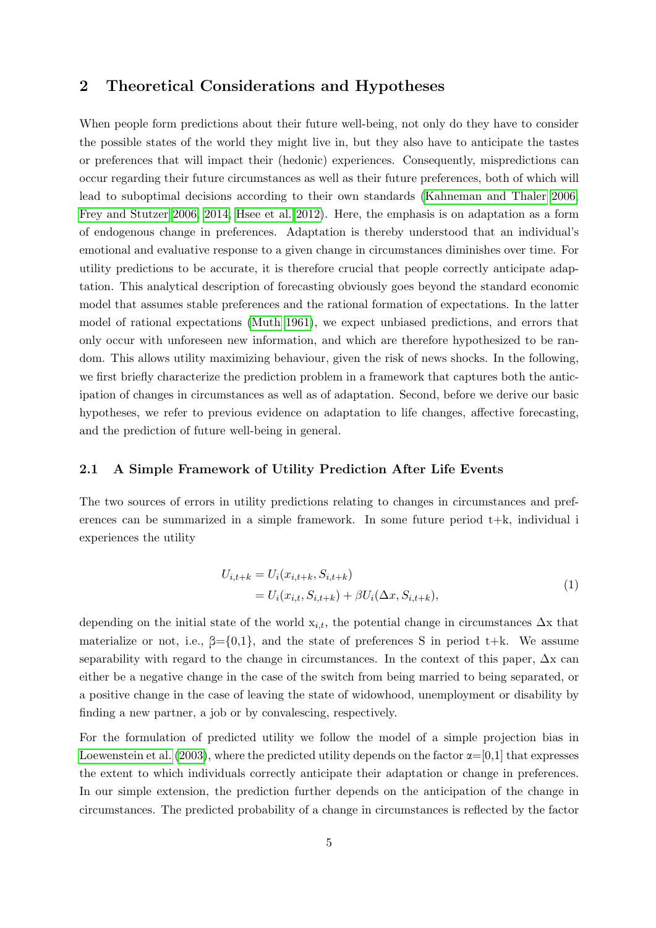# 2 Theoretical Considerations and Hypotheses

When people form predictions about their future well-being, not only do they have to consider the possible states of the world they might live in, but they also have to anticipate the tastes or preferences that will impact their (hedonic) experiences. Consequently, mispredictions can occur regarding their future circumstances as well as their future preferences, both of which will lead to suboptimal decisions according to their own standards [\(Kahneman and Thaler 2006,](#page-26-1) [Frey and Stutzer 2006,](#page-25-4) [2014,](#page-25-0) [Hsee et al. 2012\)](#page-25-5). Here, the emphasis is on adaptation as a form of endogenous change in preferences. Adaptation is thereby understood that an individual's emotional and evaluative response to a given change in circumstances diminishes over time. For utility predictions to be accurate, it is therefore crucial that people correctly anticipate adaptation. This analytical description of forecasting obviously goes beyond the standard economic model that assumes stable preferences and the rational formation of expectations. In the latter model of rational expectations [\(Muth 1961\)](#page-26-6), we expect unbiased predictions, and errors that only occur with unforeseen new information, and which are therefore hypothesized to be random. This allows utility maximizing behaviour, given the risk of news shocks. In the following, we first briefly characterize the prediction problem in a framework that captures both the anticipation of changes in circumstances as well as of adaptation. Second, before we derive our basic hypotheses, we refer to previous evidence on adaptation to life changes, affective forecasting, and the prediction of future well-being in general.

#### 2.1 A Simple Framework of Utility Prediction After Life Events

The two sources of errors in utility predictions relating to changes in circumstances and preferences can be summarized in a simple framework. In some future period t+k, individual i experiences the utility

$$
U_{i,t+k} = U_i(x_{i,t+k}, S_{i,t+k})
$$
  
= 
$$
U_i(x_{i,t}, S_{i,t+k}) + \beta U_i(\Delta x, S_{i,t+k}),
$$
 (1)

depending on the initial state of the world  $x_{i,t}$ , the potential change in circumstances  $\Delta x$  that materialize or not, i.e.,  $\beta = \{0,1\}$ , and the state of preferences S in period t+k. We assume separability with regard to the change in circumstances. In the context of this paper,  $\Delta x$  can either be a negative change in the case of the switch from being married to being separated, or a positive change in the case of leaving the state of widowhood, unemployment or disability by finding a new partner, a job or by convalescing, respectively.

For the formulation of predicted utility we follow the model of a simple projection bias in [Loewenstein et al.](#page-26-0) [\(2003\)](#page-26-0), where the predicted utility depends on the factor  $\alpha=[0,1]$  that expresses the extent to which individuals correctly anticipate their adaptation or change in preferences. In our simple extension, the prediction further depends on the anticipation of the change in circumstances. The predicted probability of a change in circumstances is reflected by the factor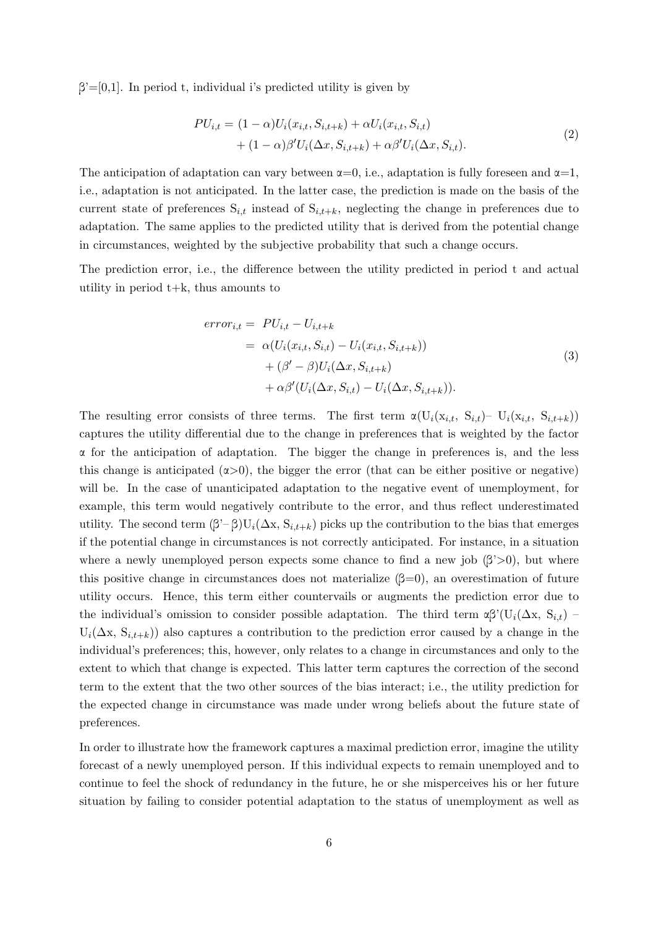$\beta = [0,1]$ . In period t, individual i's predicted utility is given by

$$
PU_{i,t} = (1 - \alpha)U_i(x_{i,t}, S_{i,t+k}) + \alpha U_i(x_{i,t}, S_{i,t}) + (1 - \alpha)\beta'U_i(\Delta x, S_{i,t+k}) + \alpha\beta'U_i(\Delta x, S_{i,t}).
$$
\n(2)

The anticipation of adaptation can vary between  $\alpha=0$ , i.e., adaptation is fully foreseen and  $\alpha=1$ , i.e., adaptation is not anticipated. In the latter case, the prediction is made on the basis of the current state of preferences  $S_{i,t}$  instead of  $S_{i,t+k}$ , neglecting the change in preferences due to adaptation. The same applies to the predicted utility that is derived from the potential change in circumstances, weighted by the subjective probability that such a change occurs.

The prediction error, i.e., the difference between the utility predicted in period t and actual utility in period t+k, thus amounts to

$$
error_{i,t} = PU_{i,t} - U_{i,t+k}
$$
  
=  $\alpha (U_i(x_{i,t}, S_{i,t}) - U_i(x_{i,t}, S_{i,t+k}))$   
+  $(\beta' - \beta)U_i(\Delta x, S_{i,t+k})$   
+  $\alpha \beta'(U_i(\Delta x, S_{i,t}) - U_i(\Delta x, S_{i,t+k})).$  (3)

The resulting error consists of three terms. The first term  $\alpha(U_i(x_{i,t}, S_{i,t})-U_i(x_{i,t}, S_{i,t+k}))$ captures the utility differential due to the change in preferences that is weighted by the factor  $\alpha$  for the anticipation of adaptation. The bigger the change in preferences is, and the less this change is anticipated  $(\alpha > 0)$ , the bigger the error (that can be either positive or negative) will be. In the case of unanticipated adaptation to the negative event of unemployment, for example, this term would negatively contribute to the error, and thus reflect underestimated utility. The second term  $(\beta - \beta)U_i(\Delta x, S_{i,t+k})$  picks up the contribution to the bias that emerges if the potential change in circumstances is not correctly anticipated. For instance, in a situation where a newly unemployed person expects some chance to find a new job  $(\beta' > 0)$ , but where this positive change in circumstances does not materialize  $(\beta=0)$ , an overestimation of future utility occurs. Hence, this term either countervails or augments the prediction error due to the individual's omission to consider possible adaptation. The third term  $\alpha\beta'(U_i(\Delta x, S_{i,t})$  $U_i(\Delta x, S_{i,t+k})$  also captures a contribution to the prediction error caused by a change in the individual's preferences; this, however, only relates to a change in circumstances and only to the extent to which that change is expected. This latter term captures the correction of the second term to the extent that the two other sources of the bias interact; i.e., the utility prediction for the expected change in circumstance was made under wrong beliefs about the future state of preferences.

In order to illustrate how the framework captures a maximal prediction error, imagine the utility forecast of a newly unemployed person. If this individual expects to remain unemployed and to continue to feel the shock of redundancy in the future, he or she misperceives his or her future situation by failing to consider potential adaptation to the status of unemployment as well as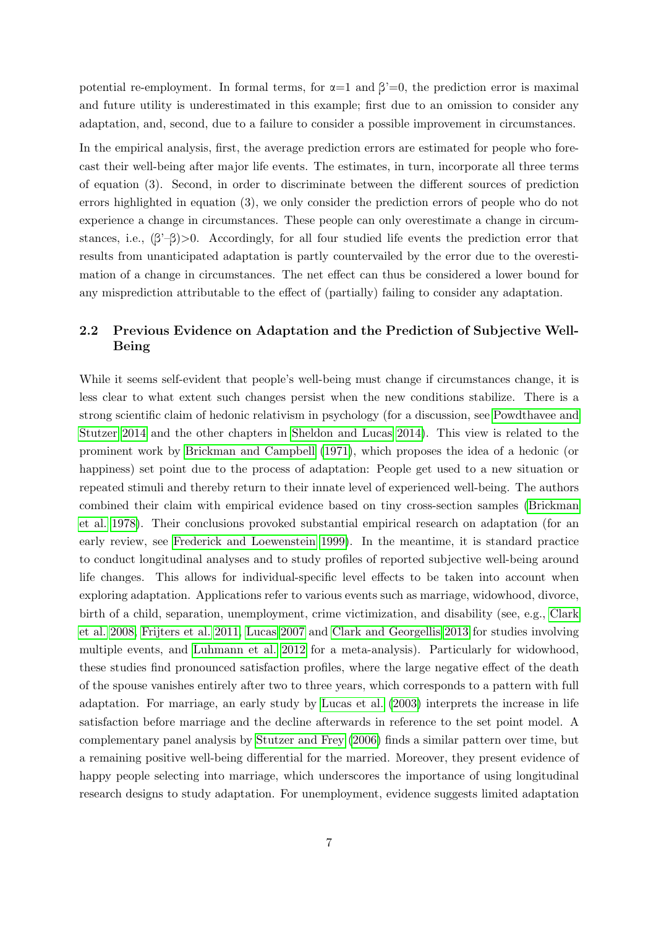potential re-employment. In formal terms, for  $\alpha=1$  and  $\beta'=0$ , the prediction error is maximal and future utility is underestimated in this example; first due to an omission to consider any adaptation, and, second, due to a failure to consider a possible improvement in circumstances.

In the empirical analysis, first, the average prediction errors are estimated for people who forecast their well-being after major life events. The estimates, in turn, incorporate all three terms of equation (3). Second, in order to discriminate between the different sources of prediction errors highlighted in equation (3), we only consider the prediction errors of people who do not experience a change in circumstances. These people can only overestimate a change in circumstances, i.e.,  $(\beta^2-\beta) > 0$ . Accordingly, for all four studied life events the prediction error that results from unanticipated adaptation is partly countervailed by the error due to the overestimation of a change in circumstances. The net effect can thus be considered a lower bound for any misprediction attributable to the effect of (partially) failing to consider any adaptation.

# 2.2 Previous Evidence on Adaptation and the Prediction of Subjective Well-Being

While it seems self-evident that people's well-being must change if circumstances change, it is less clear to what extent such changes persist when the new conditions stabilize. There is a strong scientific claim of hedonic relativism in psychology (for a discussion, see [Powdthavee and](#page-27-1) [Stutzer 2014](#page-27-1) and the other chapters in [Sheldon and Lucas 2014\)](#page-27-2). This view is related to the prominent work by [Brickman and Campbell](#page-25-1) [\(1971\)](#page-25-1), which proposes the idea of a hedonic (or happiness) set point due to the process of adaptation: People get used to a new situation or repeated stimuli and thereby return to their innate level of experienced well-being. The authors combined their claim with empirical evidence based on tiny cross-section samples [\(Brickman](#page-25-6) [et al. 1978\)](#page-25-6). Their conclusions provoked substantial empirical research on adaptation (for an early review, see [Frederick and Loewenstein 1999\)](#page-25-7). In the meantime, it is standard practice to conduct longitudinal analyses and to study profiles of reported subjective well-being around life changes. This allows for individual-specific level effects to be taken into account when exploring adaptation. Applications refer to various events such as marriage, widowhood, divorce, birth of a child, separation, unemployment, crime victimization, and disability (see, e.g., [Clark](#page-25-2) [et al. 2008,](#page-25-2) [Frijters et al. 2011,](#page-25-8) [Lucas 2007](#page-26-7) and [Clark and Georgellis 2013](#page-25-3) for studies involving multiple events, and [Luhmann et al. 2012](#page-26-8) for a meta-analysis). Particularly for widowhood, these studies find pronounced satisfaction profiles, where the large negative effect of the death of the spouse vanishes entirely after two to three years, which corresponds to a pattern with full adaptation. For marriage, an early study by [Lucas et al.](#page-26-9) [\(2003\)](#page-26-9) interprets the increase in life satisfaction before marriage and the decline afterwards in reference to the set point model. A complementary panel analysis by [Stutzer and Frey](#page-27-3) [\(2006\)](#page-27-3) finds a similar pattern over time, but a remaining positive well-being differential for the married. Moreover, they present evidence of happy people selecting into marriage, which underscores the importance of using longitudinal research designs to study adaptation. For unemployment, evidence suggests limited adaptation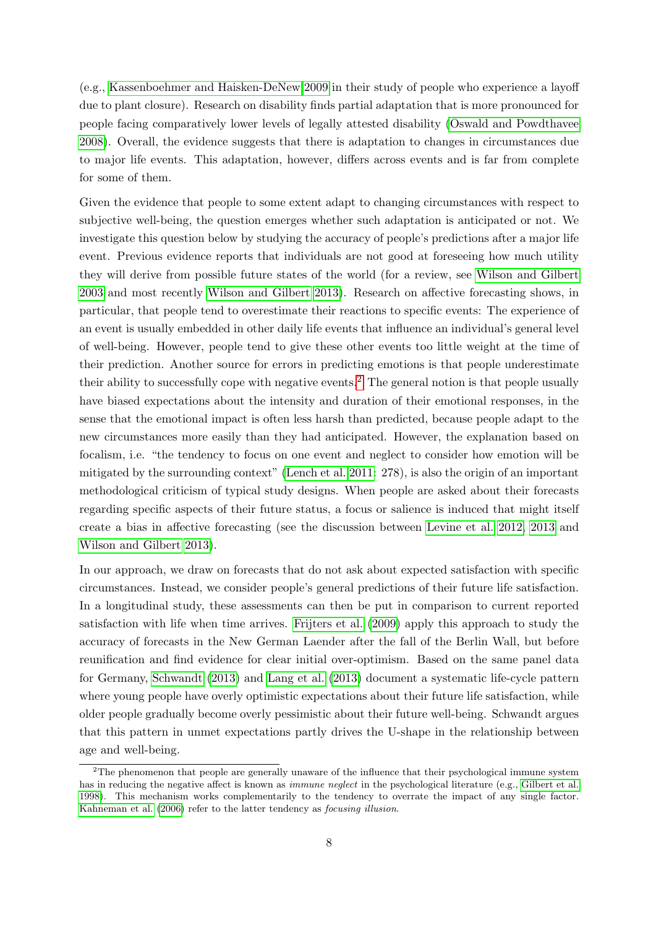(e.g., [Kassenboehmer and Haisken-DeNew 2009](#page-26-10) in their study of people who experience a layoff due to plant closure). Research on disability finds partial adaptation that is more pronounced for people facing comparatively lower levels of legally attested disability [\(Oswald and Powdthavee](#page-26-2) [2008\)](#page-26-2). Overall, the evidence suggests that there is adaptation to changes in circumstances due to major life events. This adaptation, however, differs across events and is far from complete for some of them.

Given the evidence that people to some extent adapt to changing circumstances with respect to subjective well-being, the question emerges whether such adaptation is anticipated or not. We investigate this question below by studying the accuracy of people's predictions after a major life event. Previous evidence reports that individuals are not good at foreseeing how much utility they will derive from possible future states of the world (for a review, see [Wilson and Gilbert](#page-27-0) [2003](#page-27-0) and most recently [Wilson and Gilbert 2013\)](#page-27-4). Research on affective forecasting shows, in particular, that people tend to overestimate their reactions to specific events: The experience of an event is usually embedded in other daily life events that influence an individual's general level of well-being. However, people tend to give these other events too little weight at the time of their prediction. Another source for errors in predicting emotions is that people underestimate their ability to successfully cope with negative events.<sup>[2](#page-9-0)</sup> The general notion is that people usually have biased expectations about the intensity and duration of their emotional responses, in the sense that the emotional impact is often less harsh than predicted, because people adapt to the new circumstances more easily than they had anticipated. However, the explanation based on focalism, i.e. "the tendency to focus on one event and neglect to consider how emotion will be mitigated by the surrounding context" [\(Lench et al. 2011:](#page-26-11) 278), is also the origin of an important methodological criticism of typical study designs. When people are asked about their forecasts regarding specific aspects of their future status, a focus or salience is induced that might itself create a bias in affective forecasting (see the discussion between [Levine et al. 2012,](#page-26-4) [2013](#page-26-5) and [Wilson and Gilbert 2013\)](#page-27-4).

In our approach, we draw on forecasts that do not ask about expected satisfaction with specific circumstances. Instead, we consider people's general predictions of their future life satisfaction. In a longitudinal study, these assessments can then be put in comparison to current reported satisfaction with life when time arrives. [Frijters et al.](#page-25-9) [\(2009\)](#page-25-9) apply this approach to study the accuracy of forecasts in the New German Laender after the fall of the Berlin Wall, but before reunification and find evidence for clear initial over-optimism. Based on the same panel data for Germany, [Schwandt](#page-27-5) [\(2013\)](#page-27-5) and [Lang et al.](#page-26-12) [\(2013\)](#page-26-12) document a systematic life-cycle pattern where young people have overly optimistic expectations about their future life satisfaction, while older people gradually become overly pessimistic about their future well-being. Schwandt argues that this pattern in unmet expectations partly drives the U-shape in the relationship between age and well-being.

<span id="page-9-0"></span><sup>&</sup>lt;sup>2</sup>The phenomenon that people are generally unaware of the influence that their psychological immune system has in reducing the negative affect is known as *immune neglect* in the psychological literature (e.g., [Gilbert et al.](#page-25-10) [1998\)](#page-25-10). This mechanism works complementarily to the tendency to overrate the impact of any single factor. [Kahneman et al.](#page-26-13) [\(2006\)](#page-26-13) refer to the latter tendency as focusing illusion.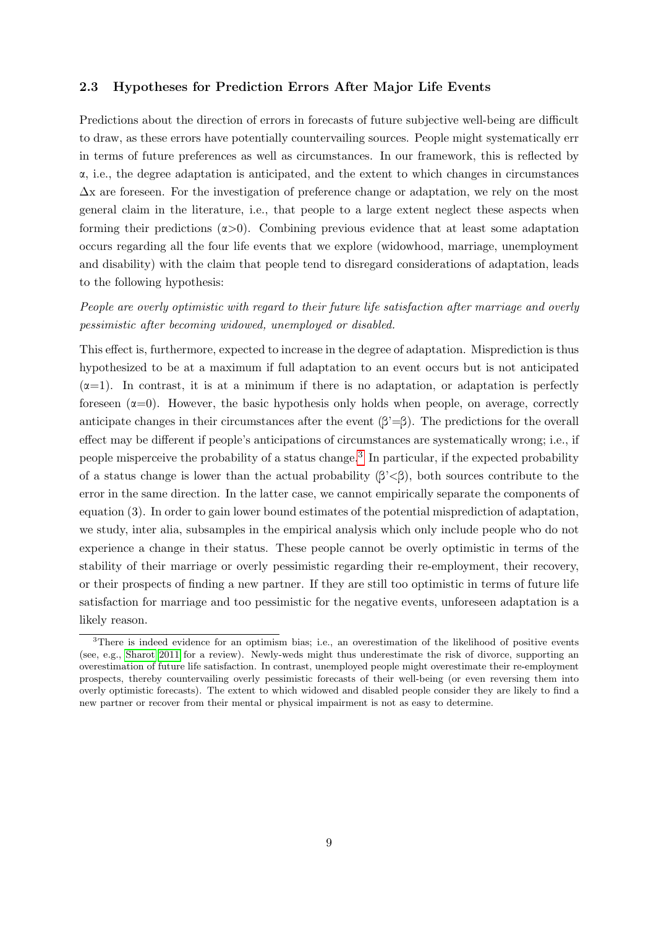#### 2.3 Hypotheses for Prediction Errors After Major Life Events

Predictions about the direction of errors in forecasts of future subjective well-being are difficult to draw, as these errors have potentially countervailing sources. People might systematically err in terms of future preferences as well as circumstances. In our framework, this is reflected by a, i.e., the degree adaptation is anticipated, and the extent to which changes in circumstances  $\Delta x$  are foreseen. For the investigation of preference change or adaptation, we rely on the most general claim in the literature, i.e., that people to a large extent neglect these aspects when forming their predictions  $(\infty)$ . Combining previous evidence that at least some adaptation occurs regarding all the four life events that we explore (widowhood, marriage, unemployment and disability) with the claim that people tend to disregard considerations of adaptation, leads to the following hypothesis:

People are overly optimistic with regard to their future life satisfaction after marriage and overly pessimistic after becoming widowed, unemployed or disabled.

This effect is, furthermore, expected to increase in the degree of adaptation. Misprediction is thus hypothesized to be at a maximum if full adaptation to an event occurs but is not anticipated  $(\alpha=1)$ . In contrast, it is at a minimum if there is no adaptation, or adaptation is perfectly foreseen  $(\alpha=0)$ . However, the basic hypothesis only holds when people, on average, correctly anticipate changes in their circumstances after the event  $(\beta = \beta)$ . The predictions for the overall effect may be different if people's anticipations of circumstances are systematically wrong; i.e., if people misperceive the probability of a status change.<sup>[3](#page-10-0)</sup> In particular, if the expected probability of a status change is lower than the actual probability  $(\beta' < \beta)$ , both sources contribute to the error in the same direction. In the latter case, we cannot empirically separate the components of equation (3). In order to gain lower bound estimates of the potential misprediction of adaptation, we study, inter alia, subsamples in the empirical analysis which only include people who do not experience a change in their status. These people cannot be overly optimistic in terms of the stability of their marriage or overly pessimistic regarding their re-employment, their recovery, or their prospects of finding a new partner. If they are still too optimistic in terms of future life satisfaction for marriage and too pessimistic for the negative events, unforeseen adaptation is a likely reason.

<span id="page-10-0"></span><sup>&</sup>lt;sup>3</sup>There is indeed evidence for an optimism bias; i.e., an overestimation of the likelihood of positive events (see, e.g., [Sharot 2011](#page-27-6) for a review). Newly-weds might thus underestimate the risk of divorce, supporting an overestimation of future life satisfaction. In contrast, unemployed people might overestimate their re-employment prospects, thereby countervailing overly pessimistic forecasts of their well-being (or even reversing them into overly optimistic forecasts). The extent to which widowed and disabled people consider they are likely to find a new partner or recover from their mental or physical impairment is not as easy to determine.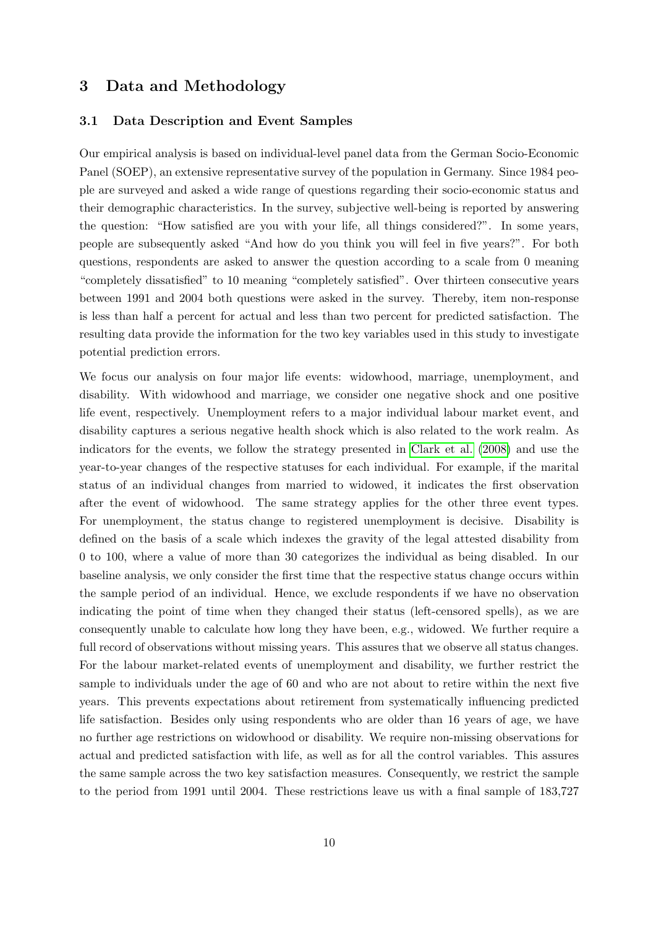# 3 Data and Methodology

#### 3.1 Data Description and Event Samples

Our empirical analysis is based on individual-level panel data from the German Socio-Economic Panel (SOEP), an extensive representative survey of the population in Germany. Since 1984 people are surveyed and asked a wide range of questions regarding their socio-economic status and their demographic characteristics. In the survey, subjective well-being is reported by answering the question: "How satisfied are you with your life, all things considered?". In some years, people are subsequently asked "And how do you think you will feel in five years?". For both questions, respondents are asked to answer the question according to a scale from 0 meaning "completely dissatisfied" to 10 meaning "completely satisfied". Over thirteen consecutive years between 1991 and 2004 both questions were asked in the survey. Thereby, item non-response is less than half a percent for actual and less than two percent for predicted satisfaction. The resulting data provide the information for the two key variables used in this study to investigate potential prediction errors.

We focus our analysis on four major life events: widowhood, marriage, unemployment, and disability. With widowhood and marriage, we consider one negative shock and one positive life event, respectively. Unemployment refers to a major individual labour market event, and disability captures a serious negative health shock which is also related to the work realm. As indicators for the events, we follow the strategy presented in [Clark et al.](#page-25-2) [\(2008\)](#page-25-2) and use the year-to-year changes of the respective statuses for each individual. For example, if the marital status of an individual changes from married to widowed, it indicates the first observation after the event of widowhood. The same strategy applies for the other three event types. For unemployment, the status change to registered unemployment is decisive. Disability is defined on the basis of a scale which indexes the gravity of the legal attested disability from 0 to 100, where a value of more than 30 categorizes the individual as being disabled. In our baseline analysis, we only consider the first time that the respective status change occurs within the sample period of an individual. Hence, we exclude respondents if we have no observation indicating the point of time when they changed their status (left-censored spells), as we are consequently unable to calculate how long they have been, e.g., widowed. We further require a full record of observations without missing years. This assures that we observe all status changes. For the labour market-related events of unemployment and disability, we further restrict the sample to individuals under the age of 60 and who are not about to retire within the next five years. This prevents expectations about retirement from systematically influencing predicted life satisfaction. Besides only using respondents who are older than 16 years of age, we have no further age restrictions on widowhood or disability. We require non-missing observations for actual and predicted satisfaction with life, as well as for all the control variables. This assures the same sample across the two key satisfaction measures. Consequently, we restrict the sample to the period from 1991 until 2004. These restrictions leave us with a final sample of 183,727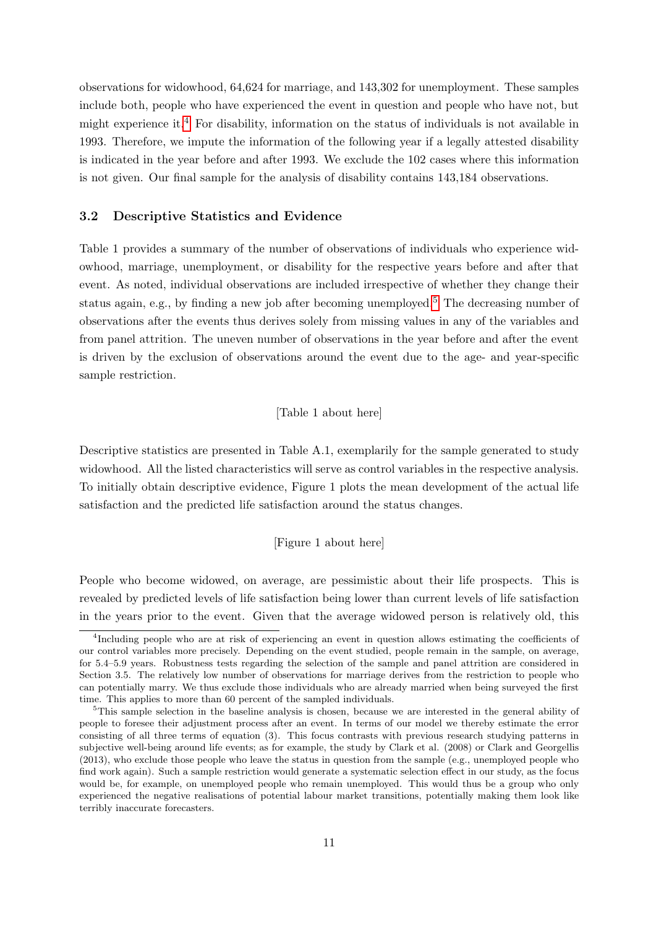observations for widowhood, 64,624 for marriage, and 143,302 for unemployment. These samples include both, people who have experienced the event in question and people who have not, but might experience it.<sup>[4](#page-12-0)</sup> For disability, information on the status of individuals is not available in 1993. Therefore, we impute the information of the following year if a legally attested disability is indicated in the year before and after 1993. We exclude the 102 cases where this information is not given. Our final sample for the analysis of disability contains 143,184 observations.

#### 3.2 Descriptive Statistics and Evidence

Table 1 provides a summary of the number of observations of individuals who experience widowhood, marriage, unemployment, or disability for the respective years before and after that event. As noted, individual observations are included irrespective of whether they change their status again, e.g., by finding a new job after becoming unemployed.<sup>[5](#page-12-1)</sup> The decreasing number of observations after the events thus derives solely from missing values in any of the variables and from panel attrition. The uneven number of observations in the year before and after the event is driven by the exclusion of observations around the event due to the age- and year-specific sample restriction.

#### [Table 1 about here]

Descriptive statistics are presented in Table A.1, exemplarily for the sample generated to study widowhood. All the listed characteristics will serve as control variables in the respective analysis. To initially obtain descriptive evidence, Figure 1 plots the mean development of the actual life satisfaction and the predicted life satisfaction around the status changes.

#### [Figure 1 about here]

People who become widowed, on average, are pessimistic about their life prospects. This is revealed by predicted levels of life satisfaction being lower than current levels of life satisfaction in the years prior to the event. Given that the average widowed person is relatively old, this

<span id="page-12-0"></span><sup>4</sup> Including people who are at risk of experiencing an event in question allows estimating the coefficients of our control variables more precisely. Depending on the event studied, people remain in the sample, on average, for 5.4–5.9 years. Robustness tests regarding the selection of the sample and panel attrition are considered in Section 3.5. The relatively low number of observations for marriage derives from the restriction to people who can potentially marry. We thus exclude those individuals who are already married when being surveyed the first time. This applies to more than 60 percent of the sampled individuals.

<span id="page-12-1"></span><sup>&</sup>lt;sup>5</sup>This sample selection in the baseline analysis is chosen, because we are interested in the general ability of people to foresee their adjustment process after an event. In terms of our model we thereby estimate the error consisting of all three terms of equation (3). This focus contrasts with previous research studying patterns in subjective well-being around life events; as for example, the study by Clark et al. (2008) or Clark and Georgellis (2013), who exclude those people who leave the status in question from the sample (e.g., unemployed people who find work again). Such a sample restriction would generate a systematic selection effect in our study, as the focus would be, for example, on unemployed people who remain unemployed. This would thus be a group who only experienced the negative realisations of potential labour market transitions, potentially making them look like terribly inaccurate forecasters.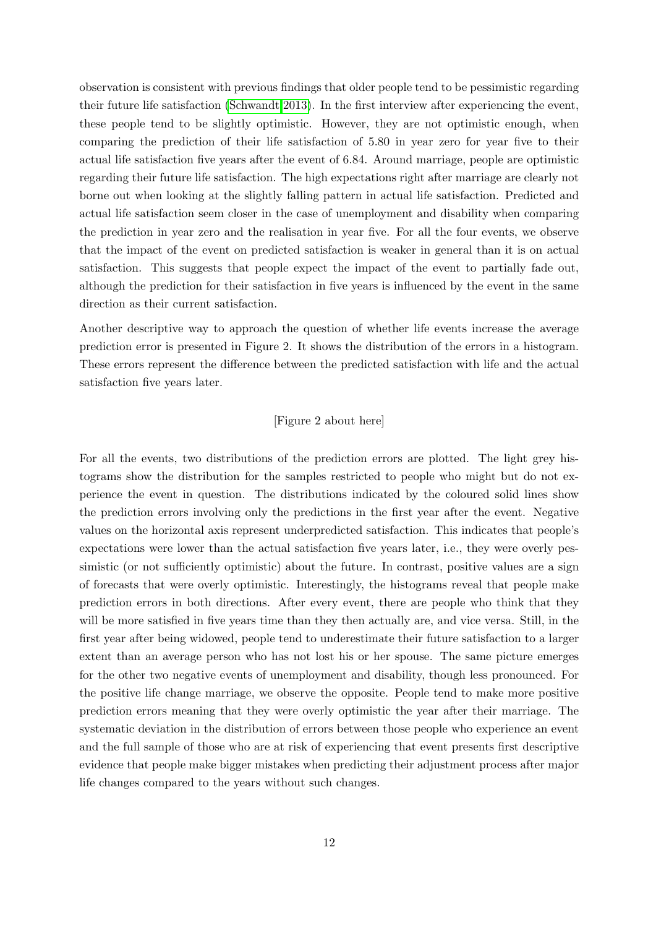observation is consistent with previous findings that older people tend to be pessimistic regarding their future life satisfaction [\(Schwandt 2013\)](#page-27-5). In the first interview after experiencing the event, these people tend to be slightly optimistic. However, they are not optimistic enough, when comparing the prediction of their life satisfaction of 5.80 in year zero for year five to their actual life satisfaction five years after the event of 6.84. Around marriage, people are optimistic regarding their future life satisfaction. The high expectations right after marriage are clearly not borne out when looking at the slightly falling pattern in actual life satisfaction. Predicted and actual life satisfaction seem closer in the case of unemployment and disability when comparing the prediction in year zero and the realisation in year five. For all the four events, we observe that the impact of the event on predicted satisfaction is weaker in general than it is on actual satisfaction. This suggests that people expect the impact of the event to partially fade out, although the prediction for their satisfaction in five years is influenced by the event in the same direction as their current satisfaction.

Another descriptive way to approach the question of whether life events increase the average prediction error is presented in Figure 2. It shows the distribution of the errors in a histogram. These errors represent the difference between the predicted satisfaction with life and the actual satisfaction five years later.

#### [Figure 2 about here]

For all the events, two distributions of the prediction errors are plotted. The light grey histograms show the distribution for the samples restricted to people who might but do not experience the event in question. The distributions indicated by the coloured solid lines show the prediction errors involving only the predictions in the first year after the event. Negative values on the horizontal axis represent underpredicted satisfaction. This indicates that people's expectations were lower than the actual satisfaction five years later, i.e., they were overly pessimistic (or not sufficiently optimistic) about the future. In contrast, positive values are a sign of forecasts that were overly optimistic. Interestingly, the histograms reveal that people make prediction errors in both directions. After every event, there are people who think that they will be more satisfied in five years time than they then actually are, and vice versa. Still, in the first year after being widowed, people tend to underestimate their future satisfaction to a larger extent than an average person who has not lost his or her spouse. The same picture emerges for the other two negative events of unemployment and disability, though less pronounced. For the positive life change marriage, we observe the opposite. People tend to make more positive prediction errors meaning that they were overly optimistic the year after their marriage. The systematic deviation in the distribution of errors between those people who experience an event and the full sample of those who are at risk of experiencing that event presents first descriptive evidence that people make bigger mistakes when predicting their adjustment process after major life changes compared to the years without such changes.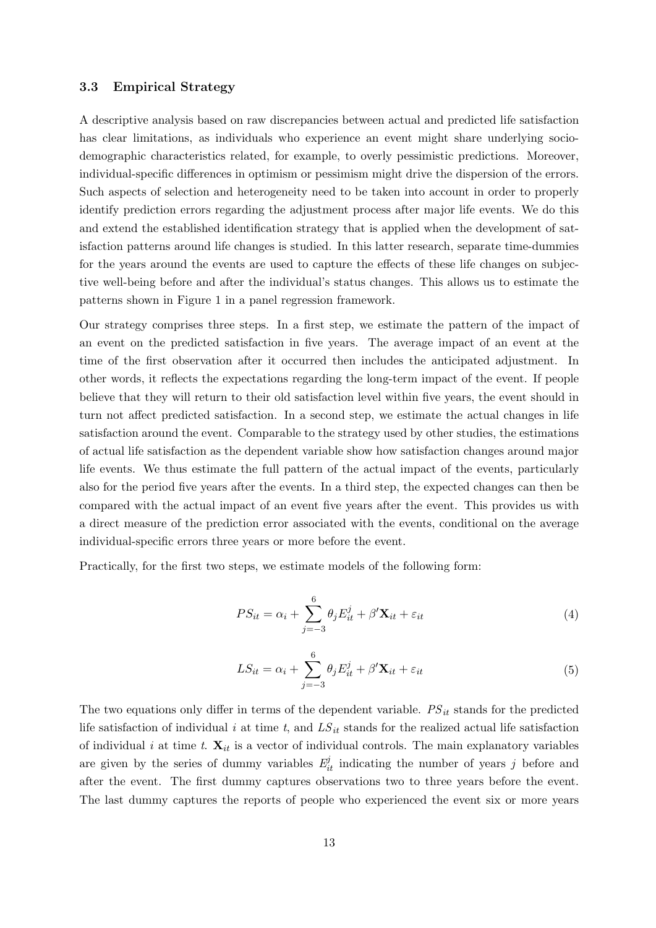#### 3.3 Empirical Strategy

A descriptive analysis based on raw discrepancies between actual and predicted life satisfaction has clear limitations, as individuals who experience an event might share underlying sociodemographic characteristics related, for example, to overly pessimistic predictions. Moreover, individual-specific differences in optimism or pessimism might drive the dispersion of the errors. Such aspects of selection and heterogeneity need to be taken into account in order to properly identify prediction errors regarding the adjustment process after major life events. We do this and extend the established identification strategy that is applied when the development of satisfaction patterns around life changes is studied. In this latter research, separate time-dummies for the years around the events are used to capture the effects of these life changes on subjective well-being before and after the individual's status changes. This allows us to estimate the patterns shown in Figure 1 in a panel regression framework.

Our strategy comprises three steps. In a first step, we estimate the pattern of the impact of an event on the predicted satisfaction in five years. The average impact of an event at the time of the first observation after it occurred then includes the anticipated adjustment. In other words, it reflects the expectations regarding the long-term impact of the event. If people believe that they will return to their old satisfaction level within five years, the event should in turn not affect predicted satisfaction. In a second step, we estimate the actual changes in life satisfaction around the event. Comparable to the strategy used by other studies, the estimations of actual life satisfaction as the dependent variable show how satisfaction changes around major life events. We thus estimate the full pattern of the actual impact of the events, particularly also for the period five years after the events. In a third step, the expected changes can then be compared with the actual impact of an event five years after the event. This provides us with a direct measure of the prediction error associated with the events, conditional on the average individual-specific errors three years or more before the event.

Practically, for the first two steps, we estimate models of the following form:

$$
PS_{it} = \alpha_i + \sum_{j=-3}^{6} \theta_j E_{it}^j + \beta' \mathbf{X}_{it} + \varepsilon_{it}
$$
\n(4)

$$
LS_{it} = \alpha_i + \sum_{j=-3}^{6} \theta_j E_{it}^j + \beta' \mathbf{X}_{it} + \varepsilon_{it}
$$
\n(5)

The two equations only differ in terms of the dependent variable.  $PS_{it}$  stands for the predicted life satisfaction of individual i at time t, and  $LS_{it}$  stands for the realized actual life satisfaction of individual i at time t.  $\mathbf{X}_{it}$  is a vector of individual controls. The main explanatory variables are given by the series of dummy variables  $E_{it}^{j}$  indicating the number of years j before and after the event. The first dummy captures observations two to three years before the event. The last dummy captures the reports of people who experienced the event six or more years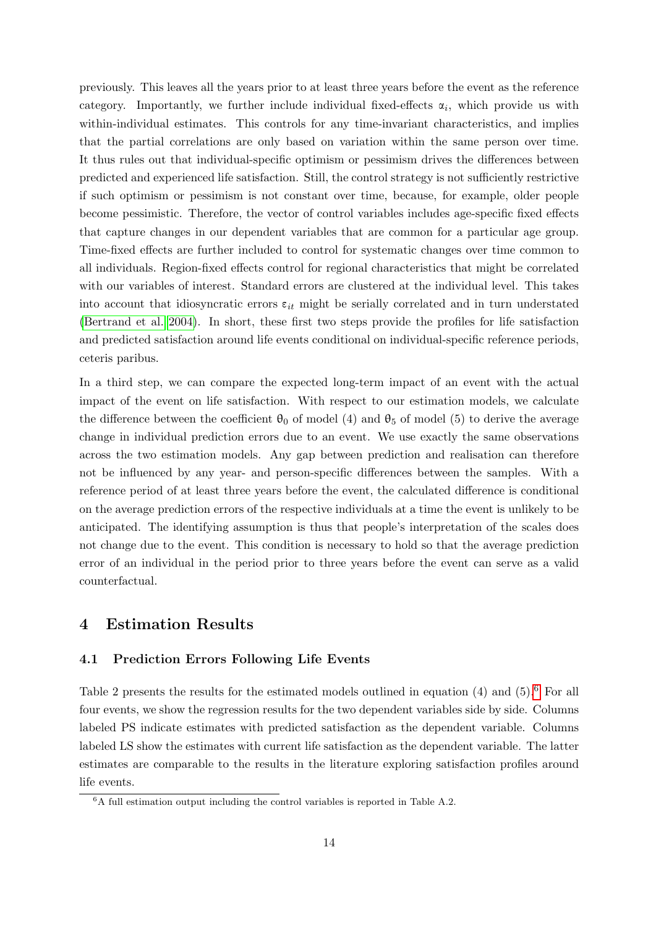previously. This leaves all the years prior to at least three years before the event as the reference category. Importantly, we further include individual fixed-effects  $\alpha_i$ , which provide us with within-individual estimates. This controls for any time-invariant characteristics, and implies that the partial correlations are only based on variation within the same person over time. It thus rules out that individual-specific optimism or pessimism drives the differences between predicted and experienced life satisfaction. Still, the control strategy is not sufficiently restrictive if such optimism or pessimism is not constant over time, because, for example, older people become pessimistic. Therefore, the vector of control variables includes age-specific fixed effects that capture changes in our dependent variables that are common for a particular age group. Time-fixed effects are further included to control for systematic changes over time common to all individuals. Region-fixed effects control for regional characteristics that might be correlated with our variables of interest. Standard errors are clustered at the individual level. This takes into account that idiosyncratic errors  $\varepsilon_{it}$  might be serially correlated and in turn understated [\(Bertrand et al. 2004\)](#page-25-11). In short, these first two steps provide the profiles for life satisfaction and predicted satisfaction around life events conditional on individual-specific reference periods, ceteris paribus.

In a third step, we can compare the expected long-term impact of an event with the actual impact of the event on life satisfaction. With respect to our estimation models, we calculate the difference between the coefficient  $\theta_0$  of model (4) and  $\theta_5$  of model (5) to derive the average change in individual prediction errors due to an event. We use exactly the same observations across the two estimation models. Any gap between prediction and realisation can therefore not be influenced by any year- and person-specific differences between the samples. With a reference period of at least three years before the event, the calculated difference is conditional on the average prediction errors of the respective individuals at a time the event is unlikely to be anticipated. The identifying assumption is thus that people's interpretation of the scales does not change due to the event. This condition is necessary to hold so that the average prediction error of an individual in the period prior to three years before the event can serve as a valid counterfactual.

# 4 Estimation Results

#### 4.1 Prediction Errors Following Life Events

Table 2 presents the results for the estimated models outlined in equation  $(4)$  and  $(5)$ .<sup>[6](#page-15-0)</sup> For all four events, we show the regression results for the two dependent variables side by side. Columns labeled PS indicate estimates with predicted satisfaction as the dependent variable. Columns labeled LS show the estimates with current life satisfaction as the dependent variable. The latter estimates are comparable to the results in the literature exploring satisfaction profiles around life events.

<span id="page-15-0"></span> ${}^{6}$ A full estimation output including the control variables is reported in Table A.2.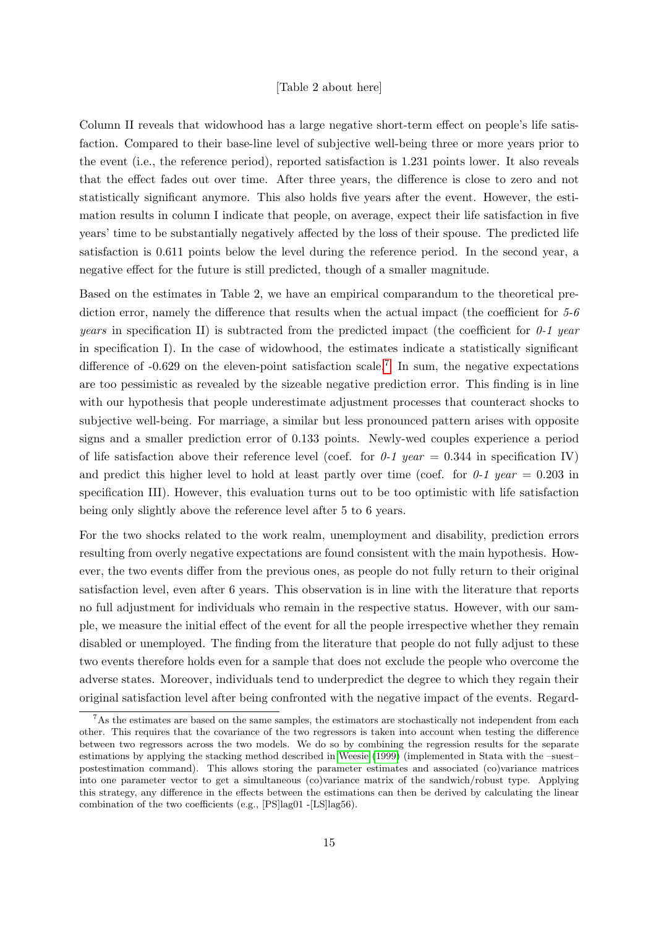#### [Table 2 about here]

Column II reveals that widowhood has a large negative short-term effect on people's life satisfaction. Compared to their base-line level of subjective well-being three or more years prior to the event (i.e., the reference period), reported satisfaction is 1.231 points lower. It also reveals that the effect fades out over time. After three years, the difference is close to zero and not statistically significant anymore. This also holds five years after the event. However, the estimation results in column I indicate that people, on average, expect their life satisfaction in five years' time to be substantially negatively affected by the loss of their spouse. The predicted life satisfaction is 0.611 points below the level during the reference period. In the second year, a negative effect for the future is still predicted, though of a smaller magnitude.

Based on the estimates in Table 2, we have an empirical comparandum to the theoretical prediction error, namely the difference that results when the actual impact (the coefficient for 5-6 *years* in specification II) is subtracted from the predicted impact (the coefficient for  $0-1$  year in specification I). In the case of widowhood, the estimates indicate a statistically significant difference of  $-0.629$  on the eleven-point satisfaction scale.<sup>[7](#page-16-0)</sup> In sum, the negative expectations are too pessimistic as revealed by the sizeable negative prediction error. This finding is in line with our hypothesis that people underestimate adjustment processes that counteract shocks to subjective well-being. For marriage, a similar but less pronounced pattern arises with opposite signs and a smaller prediction error of 0.133 points. Newly-wed couples experience a period of life satisfaction above their reference level (coef. for  $0-1$  year = 0.344 in specification IV) and predict this higher level to hold at least partly over time (coef. for  $0-1$  year = 0.203 in specification III). However, this evaluation turns out to be too optimistic with life satisfaction being only slightly above the reference level after 5 to 6 years.

For the two shocks related to the work realm, unemployment and disability, prediction errors resulting from overly negative expectations are found consistent with the main hypothesis. However, the two events differ from the previous ones, as people do not fully return to their original satisfaction level, even after 6 years. This observation is in line with the literature that reports no full adjustment for individuals who remain in the respective status. However, with our sample, we measure the initial effect of the event for all the people irrespective whether they remain disabled or unemployed. The finding from the literature that people do not fully adjust to these two events therefore holds even for a sample that does not exclude the people who overcome the adverse states. Moreover, individuals tend to underpredict the degree to which they regain their original satisfaction level after being confronted with the negative impact of the events. Regard-

<span id="page-16-0"></span><sup>&</sup>lt;sup>7</sup>As the estimates are based on the same samples, the estimators are stochastically not independent from each other. This requires that the covariance of the two regressors is taken into account when testing the difference between two regressors across the two models. We do so by combining the regression results for the separate estimations by applying the stacking method described in [Weesie](#page-27-7) [\(1999\)](#page-27-7) (implemented in Stata with the –suest– postestimation command). This allows storing the parameter estimates and associated (co)variance matrices into one parameter vector to get a simultaneous (co)variance matrix of the sandwich/robust type. Applying this strategy, any difference in the effects between the estimations can then be derived by calculating the linear combination of the two coefficients (e.g., [PS]lag01 -[LS]lag56).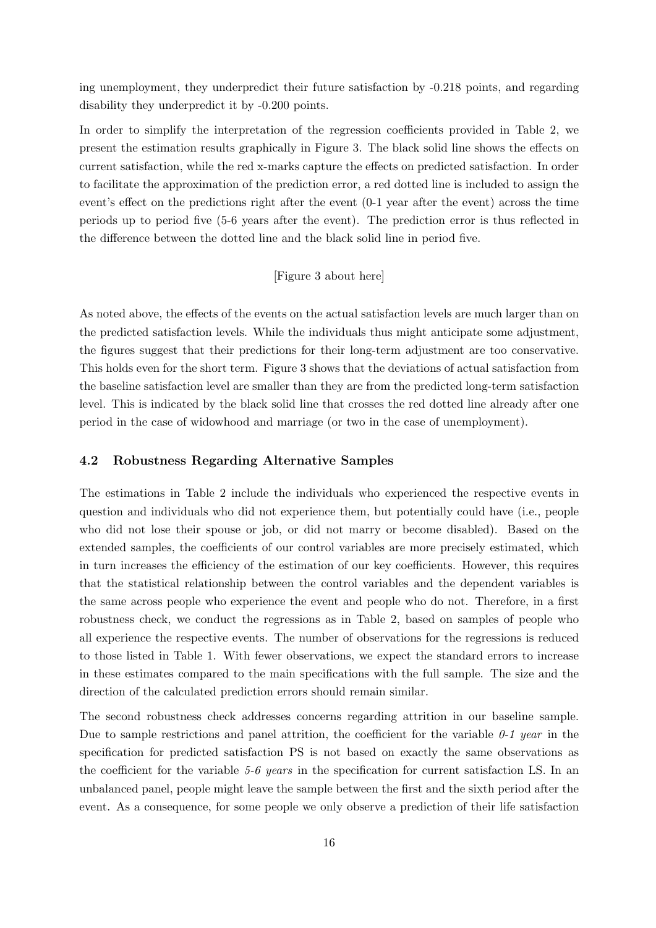ing unemployment, they underpredict their future satisfaction by -0.218 points, and regarding disability they underpredict it by -0.200 points.

In order to simplify the interpretation of the regression coefficients provided in Table 2, we present the estimation results graphically in Figure 3. The black solid line shows the effects on current satisfaction, while the red x-marks capture the effects on predicted satisfaction. In order to facilitate the approximation of the prediction error, a red dotted line is included to assign the event's effect on the predictions right after the event (0-1 year after the event) across the time periods up to period five (5-6 years after the event). The prediction error is thus reflected in the difference between the dotted line and the black solid line in period five.

#### [Figure 3 about here]

As noted above, the effects of the events on the actual satisfaction levels are much larger than on the predicted satisfaction levels. While the individuals thus might anticipate some adjustment, the figures suggest that their predictions for their long-term adjustment are too conservative. This holds even for the short term. Figure 3 shows that the deviations of actual satisfaction from the baseline satisfaction level are smaller than they are from the predicted long-term satisfaction level. This is indicated by the black solid line that crosses the red dotted line already after one period in the case of widowhood and marriage (or two in the case of unemployment).

#### 4.2 Robustness Regarding Alternative Samples

The estimations in Table 2 include the individuals who experienced the respective events in question and individuals who did not experience them, but potentially could have (i.e., people who did not lose their spouse or job, or did not marry or become disabled). Based on the extended samples, the coefficients of our control variables are more precisely estimated, which in turn increases the efficiency of the estimation of our key coefficients. However, this requires that the statistical relationship between the control variables and the dependent variables is the same across people who experience the event and people who do not. Therefore, in a first robustness check, we conduct the regressions as in Table 2, based on samples of people who all experience the respective events. The number of observations for the regressions is reduced to those listed in Table 1. With fewer observations, we expect the standard errors to increase in these estimates compared to the main specifications with the full sample. The size and the direction of the calculated prediction errors should remain similar.

The second robustness check addresses concerns regarding attrition in our baseline sample. Due to sample restrictions and panel attrition, the coefficient for the variable  $0-1$  year in the specification for predicted satisfaction PS is not based on exactly the same observations as the coefficient for the variable 5-6 years in the specification for current satisfaction LS. In an unbalanced panel, people might leave the sample between the first and the sixth period after the event. As a consequence, for some people we only observe a prediction of their life satisfaction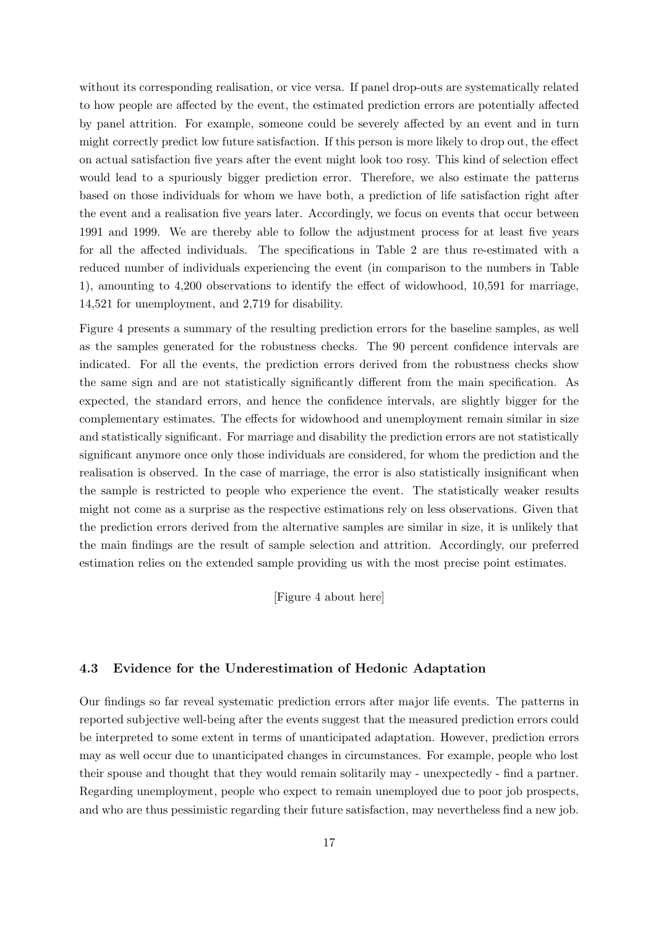without its corresponding realisation, or vice versa. If panel drop-outs are systematically related to how people are affected by the event, the estimated prediction errors are potentially affected by panel attrition. For example, someone could be severely affected by an event and in turn might correctly predict low future satisfaction. If this person is more likely to drop out, the effect on actual satisfaction five years after the event might look too rosy. This kind of selection effect would lead to a spuriously bigger prediction error. Therefore, we also estimate the patterns based on those individuals for whom we have both, a prediction of life satisfaction right after the event and a realisation five years later. Accordingly, we focus on events that occur between 1991 and 1999. We are thereby able to follow the adjustment process for at least five years for all the affected individuals. The specifications in Table 2 are thus re-estimated with a reduced number of individuals experiencing the event (in comparison to the numbers in Table 1), amounting to 4,200 observations to identify the effect of widowhood, 10,591 for marriage, 14,521 for unemployment, and 2,719 for disability.

Figure 4 presents a summary of the resulting prediction errors for the baseline samples, as well as the samples generated for the robustness checks. The 90 percent confidence intervals are indicated. For all the events, the prediction errors derived from the robustness checks show the same sign and are not statistically significantly different from the main specification. As expected, the standard errors, and hence the confidence intervals, are slightly bigger for the complementary estimates. The effects for widowhood and unemployment remain similar in size and statistically significant. For marriage and disability the prediction errors are not statistically significant anymore once only those individuals are considered, for whom the prediction and the realisation is observed. In the case of marriage, the error is also statistically insignificant when the sample is restricted to people who experience the event. The statistically weaker results might not come as a surprise as the respective estimations rely on less observations. Given that the prediction errors derived from the alternative samples are similar in size, it is unlikely that the main findings are the result of sample selection and attrition. Accordingly, our preferred estimation relies on the extended sample providing us with the most precise point estimates.

[Figure 4 about here]

#### 4.3 Evidence for the Underestimation of Hedonic Adaptation

Our findings so far reveal systematic prediction errors after major life events. The patterns in reported subjective well-being after the events suggest that the measured prediction errors could be interpreted to some extent in terms of unanticipated adaptation. However, prediction errors may as well occur due to unanticipated changes in circumstances. For example, people who lost their spouse and thought that they would remain solitarily may - unexpectedly - find a partner. Regarding unemployment, people who expect to remain unemployed due to poor job prospects, and who are thus pessimistic regarding their future satisfaction, may nevertheless find a new job.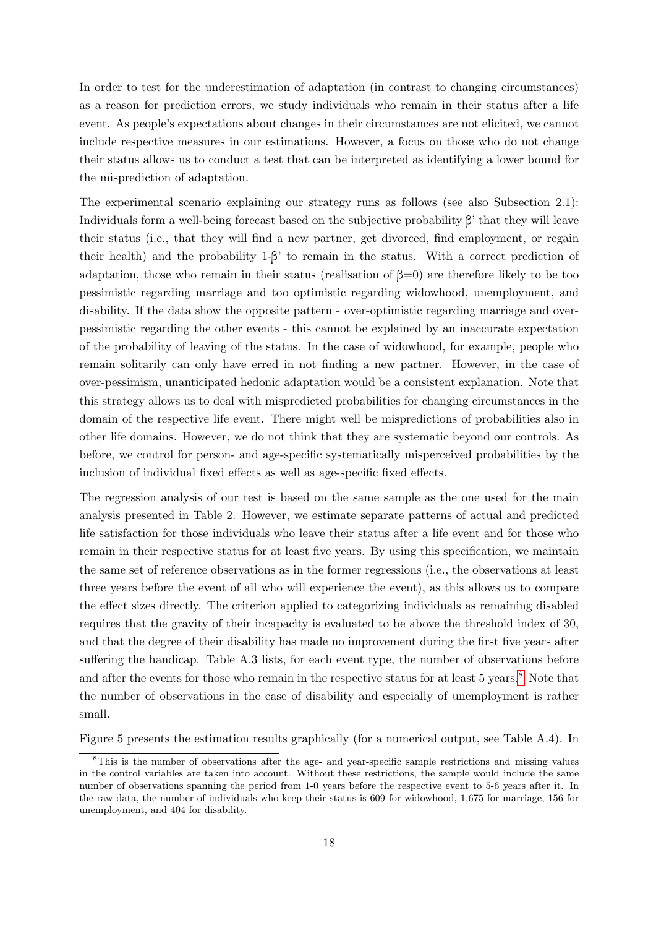In order to test for the underestimation of adaptation (in contrast to changing circumstances) as a reason for prediction errors, we study individuals who remain in their status after a life event. As people's expectations about changes in their circumstances are not elicited, we cannot include respective measures in our estimations. However, a focus on those who do not change their status allows us to conduct a test that can be interpreted as identifying a lower bound for the misprediction of adaptation.

The experimental scenario explaining our strategy runs as follows (see also Subsection 2.1): Individuals form a well-being forecast based on the subjective probability  $\beta'$  that they will leave their status (i.e., that they will find a new partner, get divorced, find employment, or regain their health) and the probability  $1-\beta$  to remain in the status. With a correct prediction of adaptation, those who remain in their status (realisation of  $\beta=0$ ) are therefore likely to be too pessimistic regarding marriage and too optimistic regarding widowhood, unemployment, and disability. If the data show the opposite pattern - over-optimistic regarding marriage and overpessimistic regarding the other events - this cannot be explained by an inaccurate expectation of the probability of leaving of the status. In the case of widowhood, for example, people who remain solitarily can only have erred in not finding a new partner. However, in the case of over-pessimism, unanticipated hedonic adaptation would be a consistent explanation. Note that this strategy allows us to deal with mispredicted probabilities for changing circumstances in the domain of the respective life event. There might well be mispredictions of probabilities also in other life domains. However, we do not think that they are systematic beyond our controls. As before, we control for person- and age-specific systematically misperceived probabilities by the inclusion of individual fixed effects as well as age-specific fixed effects.

The regression analysis of our test is based on the same sample as the one used for the main analysis presented in Table 2. However, we estimate separate patterns of actual and predicted life satisfaction for those individuals who leave their status after a life event and for those who remain in their respective status for at least five years. By using this specification, we maintain the same set of reference observations as in the former regressions (i.e., the observations at least three years before the event of all who will experience the event), as this allows us to compare the effect sizes directly. The criterion applied to categorizing individuals as remaining disabled requires that the gravity of their incapacity is evaluated to be above the threshold index of 30, and that the degree of their disability has made no improvement during the first five years after suffering the handicap. Table A.3 lists, for each event type, the number of observations before and after the events for those who remain in the respective status for at least 5 years.<sup>[8](#page-19-0)</sup> Note that the number of observations in the case of disability and especially of unemployment is rather small.

Figure 5 presents the estimation results graphically (for a numerical output, see Table A.4). In

<span id="page-19-0"></span><sup>8</sup>This is the number of observations after the age- and year-specific sample restrictions and missing values in the control variables are taken into account. Without these restrictions, the sample would include the same number of observations spanning the period from 1-0 years before the respective event to 5-6 years after it. In the raw data, the number of individuals who keep their status is 609 for widowhood, 1,675 for marriage, 156 for unemployment, and 404 for disability.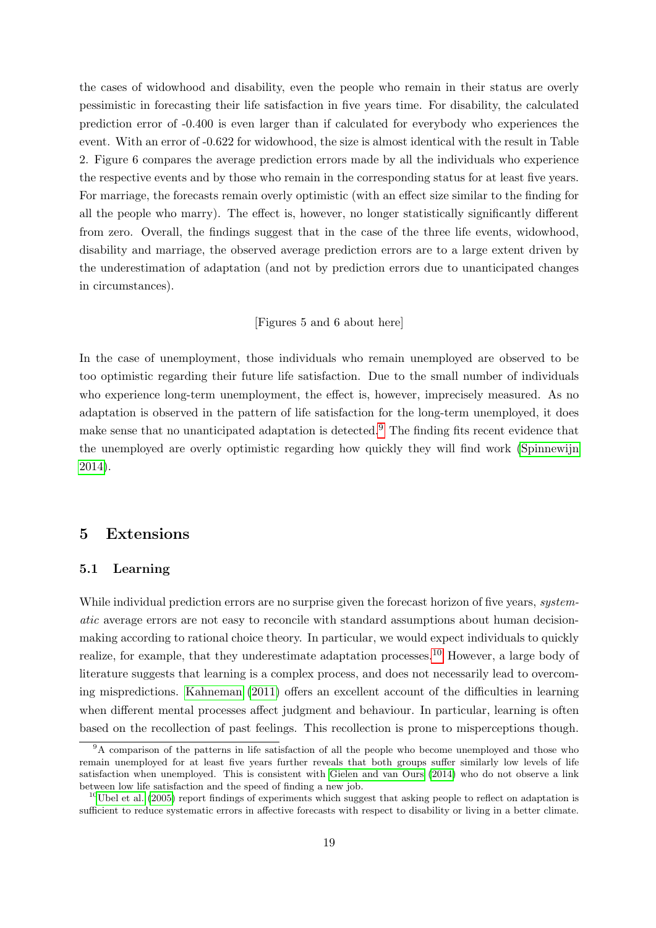the cases of widowhood and disability, even the people who remain in their status are overly pessimistic in forecasting their life satisfaction in five years time. For disability, the calculated prediction error of -0.400 is even larger than if calculated for everybody who experiences the event. With an error of -0.622 for widowhood, the size is almost identical with the result in Table 2. Figure 6 compares the average prediction errors made by all the individuals who experience the respective events and by those who remain in the corresponding status for at least five years. For marriage, the forecasts remain overly optimistic (with an effect size similar to the finding for all the people who marry). The effect is, however, no longer statistically significantly different from zero. Overall, the findings suggest that in the case of the three life events, widowhood, disability and marriage, the observed average prediction errors are to a large extent driven by the underestimation of adaptation (and not by prediction errors due to unanticipated changes in circumstances).

#### [Figures 5 and 6 about here]

In the case of unemployment, those individuals who remain unemployed are observed to be too optimistic regarding their future life satisfaction. Due to the small number of individuals who experience long-term unemployment, the effect is, however, imprecisely measured. As no adaptation is observed in the pattern of life satisfaction for the long-term unemployed, it does make sense that no unanticipated adaptation is detected.<sup>[9](#page-20-0)</sup> The finding fits recent evidence that the unemployed are overly optimistic regarding how quickly they will find work [\(Spinnewijn](#page-27-8) [2014\)](#page-27-8).

# 5 Extensions

#### 5.1 Learning

While individual prediction errors are no surprise given the forecast horizon of five years, systematic average errors are not easy to reconcile with standard assumptions about human decisionmaking according to rational choice theory. In particular, we would expect individuals to quickly realize, for example, that they underestimate adaptation processes.[10](#page-20-1) However, a large body of literature suggests that learning is a complex process, and does not necessarily lead to overcoming mispredictions. [Kahneman](#page-26-14) [\(2011\)](#page-26-14) offers an excellent account of the difficulties in learning when different mental processes affect judgment and behaviour. In particular, learning is often based on the recollection of past feelings. This recollection is prone to misperceptions though.

<span id="page-20-0"></span><sup>&</sup>lt;sup>9</sup>A comparison of the patterns in life satisfaction of all the people who become unemployed and those who remain unemployed for at least five years further reveals that both groups suffer similarly low levels of life satisfaction when unemployed. This is consistent with [Gielen and van Ours](#page-25-12) [\(2014\)](#page-25-12) who do not observe a link between low life satisfaction and the speed of finding a new job.

<span id="page-20-1"></span> $10$ [Ubel et al.](#page-27-9) [\(2005\)](#page-27-9) report findings of experiments which suggest that asking people to reflect on adaptation is sufficient to reduce systematic errors in affective forecasts with respect to disability or living in a better climate.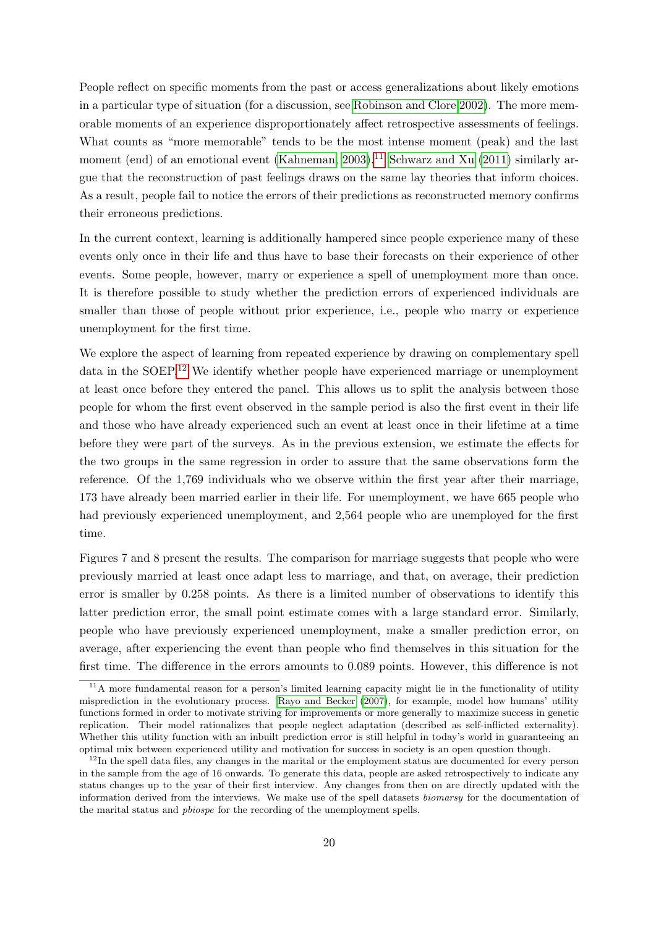People reflect on specific moments from the past or access generalizations about likely emotions in a particular type of situation (for a discussion, see [Robinson and Clore 2002\)](#page-27-10). The more memorable moments of an experience disproportionately affect retrospective assessments of feelings. What counts as "more memorable" tends to be the most intense moment (peak) and the last moment (end) of an emotional event [\(Kahneman, 2003\)](#page-26-15).<sup>[11](#page-21-0)</sup> [Schwarz and Xu](#page-27-11) [\(2011\)](#page-27-11) similarly argue that the reconstruction of past feelings draws on the same lay theories that inform choices. As a result, people fail to notice the errors of their predictions as reconstructed memory confirms their erroneous predictions.

In the current context, learning is additionally hampered since people experience many of these events only once in their life and thus have to base their forecasts on their experience of other events. Some people, however, marry or experience a spell of unemployment more than once. It is therefore possible to study whether the prediction errors of experienced individuals are smaller than those of people without prior experience, i.e., people who marry or experience unemployment for the first time.

We explore the aspect of learning from repeated experience by drawing on complementary spell data in the SOEP.<sup>[12](#page-21-1)</sup> We identify whether people have experienced marriage or unemployment at least once before they entered the panel. This allows us to split the analysis between those people for whom the first event observed in the sample period is also the first event in their life and those who have already experienced such an event at least once in their lifetime at a time before they were part of the surveys. As in the previous extension, we estimate the effects for the two groups in the same regression in order to assure that the same observations form the reference. Of the 1,769 individuals who we observe within the first year after their marriage, 173 have already been married earlier in their life. For unemployment, we have 665 people who had previously experienced unemployment, and 2,564 people who are unemployed for the first time.

Figures 7 and 8 present the results. The comparison for marriage suggests that people who were previously married at least once adapt less to marriage, and that, on average, their prediction error is smaller by 0.258 points. As there is a limited number of observations to identify this latter prediction error, the small point estimate comes with a large standard error. Similarly, people who have previously experienced unemployment, make a smaller prediction error, on average, after experiencing the event than people who find themselves in this situation for the first time. The difference in the errors amounts to 0.089 points. However, this difference is not

<span id="page-21-0"></span><sup>&</sup>lt;sup>11</sup>A more fundamental reason for a person's limited learning capacity might lie in the functionality of utility misprediction in the evolutionary process. [Rayo and Becker](#page-27-12) [\(2007\)](#page-27-12), for example, model how humans' utility functions formed in order to motivate striving for improvements or more generally to maximize success in genetic replication. Their model rationalizes that people neglect adaptation (described as self-inflicted externality). Whether this utility function with an inbuilt prediction error is still helpful in today's world in guaranteeing an optimal mix between experienced utility and motivation for success in society is an open question though.

<span id="page-21-1"></span> $12$ In the spell data files, any changes in the marital or the employment status are documented for every person in the sample from the age of 16 onwards. To generate this data, people are asked retrospectively to indicate any status changes up to the year of their first interview. Any changes from then on are directly updated with the information derived from the interviews. We make use of the spell datasets biomarsy for the documentation of the marital status and pbiospe for the recording of the unemployment spells.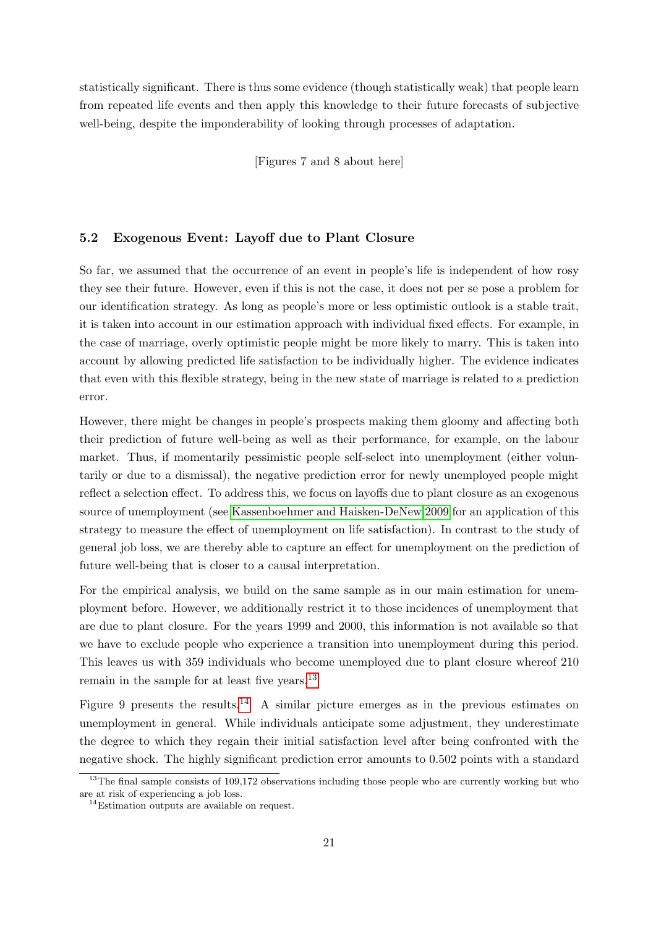statistically significant. There is thus some evidence (though statistically weak) that people learn from repeated life events and then apply this knowledge to their future forecasts of subjective well-being, despite the imponderability of looking through processes of adaptation.

[Figures 7 and 8 about here]

#### 5.2 Exogenous Event: Layoff due to Plant Closure

So far, we assumed that the occurrence of an event in people's life is independent of how rosy they see their future. However, even if this is not the case, it does not per se pose a problem for our identification strategy. As long as people's more or less optimistic outlook is a stable trait, it is taken into account in our estimation approach with individual fixed effects. For example, in the case of marriage, overly optimistic people might be more likely to marry. This is taken into account by allowing predicted life satisfaction to be individually higher. The evidence indicates that even with this flexible strategy, being in the new state of marriage is related to a prediction error.

However, there might be changes in people's prospects making them gloomy and affecting both their prediction of future well-being as well as their performance, for example, on the labour market. Thus, if momentarily pessimistic people self-select into unemployment (either voluntarily or due to a dismissal), the negative prediction error for newly unemployed people might reflect a selection effect. To address this, we focus on layoffs due to plant closure as an exogenous source of unemployment (see [Kassenboehmer and Haisken-DeNew 2009](#page-26-10) for an application of this strategy to measure the effect of unemployment on life satisfaction). In contrast to the study of general job loss, we are thereby able to capture an effect for unemployment on the prediction of future well-being that is closer to a causal interpretation.

For the empirical analysis, we build on the same sample as in our main estimation for unemployment before. However, we additionally restrict it to those incidences of unemployment that are due to plant closure. For the years 1999 and 2000, this information is not available so that we have to exclude people who experience a transition into unemployment during this period. This leaves us with 359 individuals who become unemployed due to plant closure whereof 210 remain in the sample for at least five years.[13](#page-22-0)

Figure 9 presents the results.<sup>[14](#page-22-1)</sup> A similar picture emerges as in the previous estimates on unemployment in general. While individuals anticipate some adjustment, they underestimate the degree to which they regain their initial satisfaction level after being confronted with the negative shock. The highly significant prediction error amounts to 0.502 points with a standard

<span id="page-22-0"></span><sup>&</sup>lt;sup>13</sup>The final sample consists of 109,172 observations including those people who are currently working but who are at risk of experiencing a job loss.

<span id="page-22-1"></span><sup>&</sup>lt;sup>14</sup>Estimation outputs are available on request.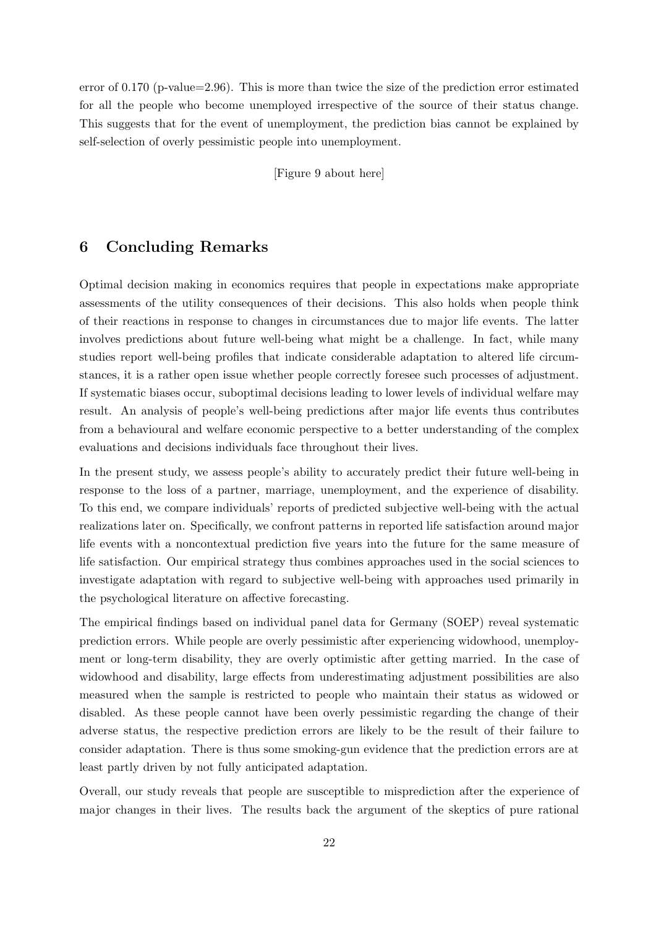error of 0.170 (p-value=2.96). This is more than twice the size of the prediction error estimated for all the people who become unemployed irrespective of the source of their status change. This suggests that for the event of unemployment, the prediction bias cannot be explained by self-selection of overly pessimistic people into unemployment.

[Figure 9 about here]

# 6 Concluding Remarks

Optimal decision making in economics requires that people in expectations make appropriate assessments of the utility consequences of their decisions. This also holds when people think of their reactions in response to changes in circumstances due to major life events. The latter involves predictions about future well-being what might be a challenge. In fact, while many studies report well-being profiles that indicate considerable adaptation to altered life circumstances, it is a rather open issue whether people correctly foresee such processes of adjustment. If systematic biases occur, suboptimal decisions leading to lower levels of individual welfare may result. An analysis of people's well-being predictions after major life events thus contributes from a behavioural and welfare economic perspective to a better understanding of the complex evaluations and decisions individuals face throughout their lives.

In the present study, we assess people's ability to accurately predict their future well-being in response to the loss of a partner, marriage, unemployment, and the experience of disability. To this end, we compare individuals' reports of predicted subjective well-being with the actual realizations later on. Specifically, we confront patterns in reported life satisfaction around major life events with a noncontextual prediction five years into the future for the same measure of life satisfaction. Our empirical strategy thus combines approaches used in the social sciences to investigate adaptation with regard to subjective well-being with approaches used primarily in the psychological literature on affective forecasting.

The empirical findings based on individual panel data for Germany (SOEP) reveal systematic prediction errors. While people are overly pessimistic after experiencing widowhood, unemployment or long-term disability, they are overly optimistic after getting married. In the case of widowhood and disability, large effects from underestimating adjustment possibilities are also measured when the sample is restricted to people who maintain their status as widowed or disabled. As these people cannot have been overly pessimistic regarding the change of their adverse status, the respective prediction errors are likely to be the result of their failure to consider adaptation. There is thus some smoking-gun evidence that the prediction errors are at least partly driven by not fully anticipated adaptation.

Overall, our study reveals that people are susceptible to misprediction after the experience of major changes in their lives. The results back the argument of the skeptics of pure rational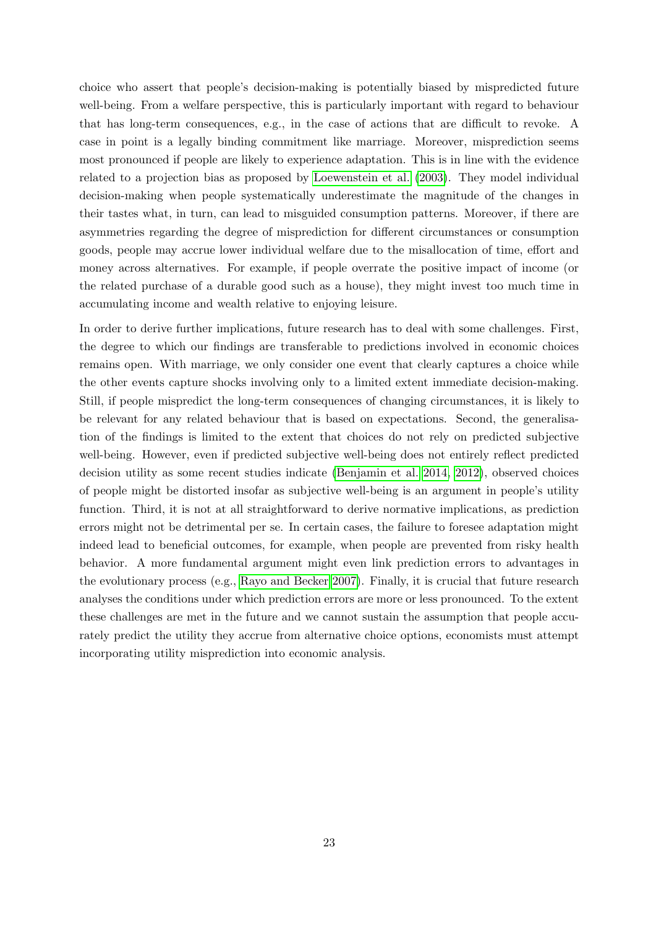choice who assert that people's decision-making is potentially biased by mispredicted future well-being. From a welfare perspective, this is particularly important with regard to behaviour that has long-term consequences, e.g., in the case of actions that are difficult to revoke. A case in point is a legally binding commitment like marriage. Moreover, misprediction seems most pronounced if people are likely to experience adaptation. This is in line with the evidence related to a projection bias as proposed by [Loewenstein et al.](#page-26-0) [\(2003\)](#page-26-0). They model individual decision-making when people systematically underestimate the magnitude of the changes in their tastes what, in turn, can lead to misguided consumption patterns. Moreover, if there are asymmetries regarding the degree of misprediction for different circumstances or consumption goods, people may accrue lower individual welfare due to the misallocation of time, effort and money across alternatives. For example, if people overrate the positive impact of income (or the related purchase of a durable good such as a house), they might invest too much time in accumulating income and wealth relative to enjoying leisure.

In order to derive further implications, future research has to deal with some challenges. First, the degree to which our findings are transferable to predictions involved in economic choices remains open. With marriage, we only consider one event that clearly captures a choice while the other events capture shocks involving only to a limited extent immediate decision-making. Still, if people mispredict the long-term consequences of changing circumstances, it is likely to be relevant for any related behaviour that is based on expectations. Second, the generalisation of the findings is limited to the extent that choices do not rely on predicted subjective well-being. However, even if predicted subjective well-being does not entirely reflect predicted decision utility as some recent studies indicate [\(Benjamin et al. 2014,](#page-25-13) [2012\)](#page-25-14), observed choices of people might be distorted insofar as subjective well-being is an argument in people's utility function. Third, it is not at all straightforward to derive normative implications, as prediction errors might not be detrimental per se. In certain cases, the failure to foresee adaptation might indeed lead to beneficial outcomes, for example, when people are prevented from risky health behavior. A more fundamental argument might even link prediction errors to advantages in the evolutionary process (e.g., [Rayo and Becker 2007\)](#page-27-12). Finally, it is crucial that future research analyses the conditions under which prediction errors are more or less pronounced. To the extent these challenges are met in the future and we cannot sustain the assumption that people accurately predict the utility they accrue from alternative choice options, economists must attempt incorporating utility misprediction into economic analysis.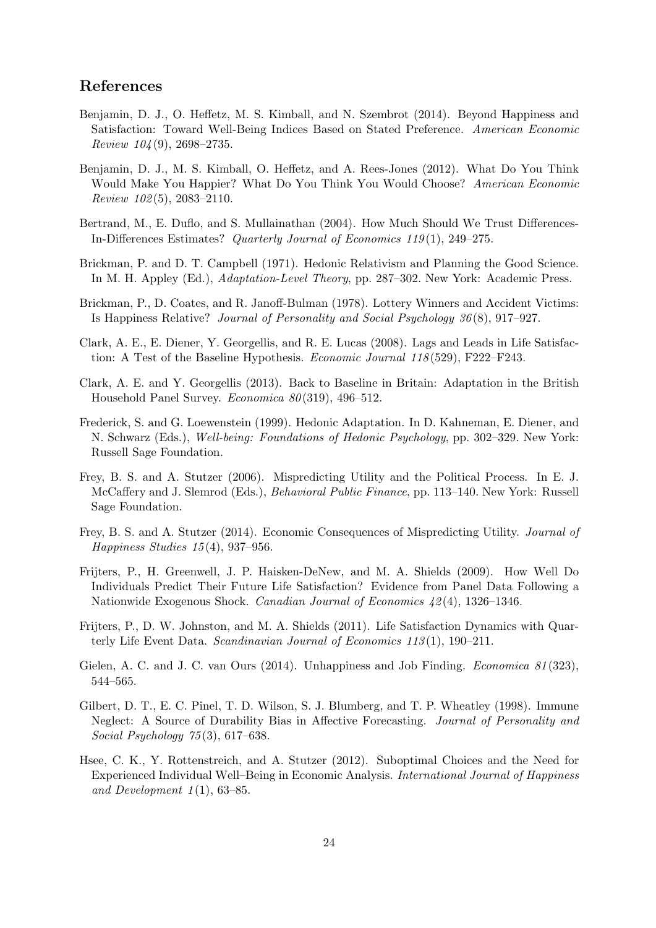### References

- <span id="page-25-13"></span>Benjamin, D. J., O. Heffetz, M. S. Kimball, and N. Szembrot (2014). Beyond Happiness and Satisfaction: Toward Well-Being Indices Based on Stated Preference. American Economic  $Review 104(9), 2698-2735.$
- <span id="page-25-14"></span>Benjamin, D. J., M. S. Kimball, O. Heffetz, and A. Rees-Jones (2012). What Do You Think Would Make You Happier? What Do You Think You Would Choose? American Economic Review 102 (5), 2083–2110.
- <span id="page-25-11"></span>Bertrand, M., E. Duflo, and S. Mullainathan (2004). How Much Should We Trust Differences-In-Differences Estimates? Quarterly Journal of Economics 119 (1), 249–275.
- <span id="page-25-1"></span>Brickman, P. and D. T. Campbell (1971). Hedonic Relativism and Planning the Good Science. In M. H. Appley (Ed.), Adaptation-Level Theory, pp. 287–302. New York: Academic Press.
- <span id="page-25-6"></span>Brickman, P., D. Coates, and R. Janoff-Bulman (1978). Lottery Winners and Accident Victims: Is Happiness Relative? Journal of Personality and Social Psychology 36 (8), 917–927.
- <span id="page-25-2"></span>Clark, A. E., E. Diener, Y. Georgellis, and R. E. Lucas (2008). Lags and Leads in Life Satisfaction: A Test of the Baseline Hypothesis. Economic Journal 118 (529), F222–F243.
- <span id="page-25-3"></span>Clark, A. E. and Y. Georgellis (2013). Back to Baseline in Britain: Adaptation in the British Household Panel Survey. *Economica* 80(319), 496–512.
- <span id="page-25-7"></span>Frederick, S. and G. Loewenstein (1999). Hedonic Adaptation. In D. Kahneman, E. Diener, and N. Schwarz (Eds.), Well-being: Foundations of Hedonic Psychology, pp. 302–329. New York: Russell Sage Foundation.
- <span id="page-25-4"></span>Frey, B. S. and A. Stutzer (2006). Mispredicting Utility and the Political Process. In E. J. McCaffery and J. Slemrod (Eds.), Behavioral Public Finance, pp. 113–140. New York: Russell Sage Foundation.
- <span id="page-25-0"></span>Frey, B. S. and A. Stutzer (2014). Economic Consequences of Mispredicting Utility. Journal of Happiness Studies 15 (4), 937–956.
- <span id="page-25-9"></span>Frijters, P., H. Greenwell, J. P. Haisken-DeNew, and M. A. Shields (2009). How Well Do Individuals Predict Their Future Life Satisfaction? Evidence from Panel Data Following a Nationwide Exogenous Shock. Canadian Journal of Economics 42 (4), 1326–1346.
- <span id="page-25-8"></span>Frijters, P., D. W. Johnston, and M. A. Shields (2011). Life Satisfaction Dynamics with Quarterly Life Event Data. Scandinavian Journal of Economics 113 (1), 190–211.
- <span id="page-25-12"></span>Gielen, A. C. and J. C. van Ours (2014). Unhappiness and Job Finding. *Economica 81* (323), 544–565.
- <span id="page-25-10"></span>Gilbert, D. T., E. C. Pinel, T. D. Wilson, S. J. Blumberg, and T. P. Wheatley (1998). Immune Neglect: A Source of Durability Bias in Affective Forecasting. Journal of Personality and Social Psychology 75 (3), 617–638.
- <span id="page-25-5"></span>Hsee, C. K., Y. Rottenstreich, and A. Stutzer (2012). Suboptimal Choices and the Need for Experienced Individual Well–Being in Economic Analysis. International Journal of Happiness and Development  $1(1)$ , 63-85.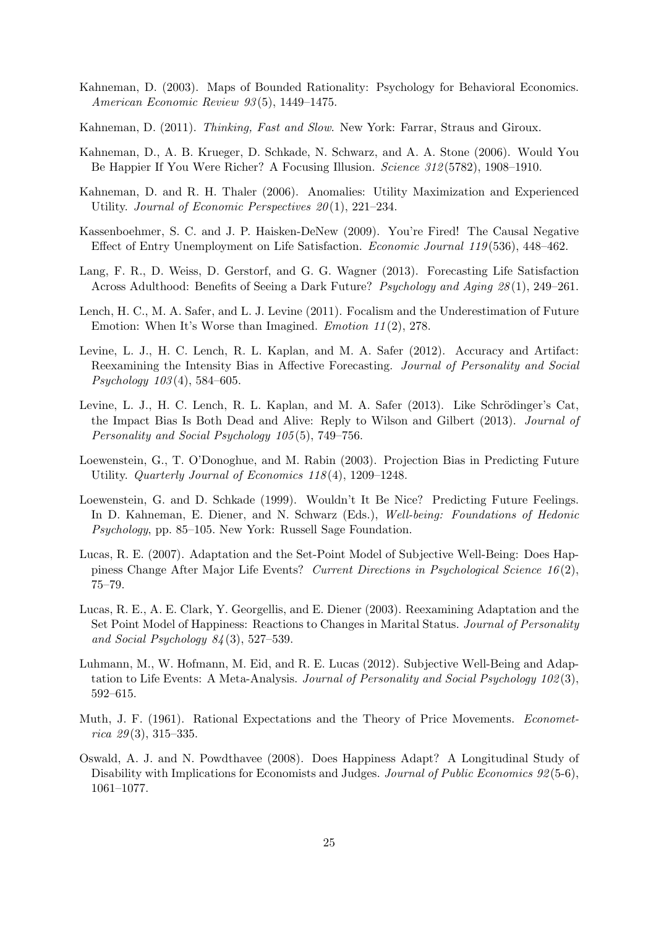- <span id="page-26-15"></span>Kahneman, D. (2003). Maps of Bounded Rationality: Psychology for Behavioral Economics. American Economic Review 93 (5), 1449–1475.
- <span id="page-26-14"></span>Kahneman, D. (2011). Thinking, Fast and Slow. New York: Farrar, Straus and Giroux.
- <span id="page-26-13"></span>Kahneman, D., A. B. Krueger, D. Schkade, N. Schwarz, and A. A. Stone (2006). Would You Be Happier If You Were Richer? A Focusing Illusion. Science 312 (5782), 1908–1910.
- <span id="page-26-1"></span>Kahneman, D. and R. H. Thaler (2006). Anomalies: Utility Maximization and Experienced Utility. Journal of Economic Perspectives  $20(1)$ , 221–234.
- <span id="page-26-10"></span>Kassenboehmer, S. C. and J. P. Haisken-DeNew (2009). You're Fired! The Causal Negative Effect of Entry Unemployment on Life Satisfaction. Economic Journal 119 (536), 448–462.
- <span id="page-26-12"></span>Lang, F. R., D. Weiss, D. Gerstorf, and G. G. Wagner (2013). Forecasting Life Satisfaction Across Adulthood: Benefits of Seeing a Dark Future? Psychology and Aging 28 (1), 249–261.
- <span id="page-26-11"></span>Lench, H. C., M. A. Safer, and L. J. Levine (2011). Focalism and the Underestimation of Future Emotion: When It's Worse than Imagined. *Emotion 11(2)*, 278.
- <span id="page-26-4"></span>Levine, L. J., H. C. Lench, R. L. Kaplan, and M. A. Safer (2012). Accuracy and Artifact: Reexamining the Intensity Bias in Affective Forecasting. Journal of Personality and Social  $Psychology 103(4), 584–605.$
- <span id="page-26-5"></span>Levine, L. J., H. C. Lench, R. L. Kaplan, and M. A. Safer (2013). Like Schrödinger's Cat, the Impact Bias Is Both Dead and Alive: Reply to Wilson and Gilbert (2013). Journal of Personality and Social Psychology 105 (5), 749–756.
- <span id="page-26-0"></span>Loewenstein, G., T. O'Donoghue, and M. Rabin (2003). Projection Bias in Predicting Future Utility. Quarterly Journal of Economics 118 (4), 1209–1248.
- <span id="page-26-3"></span>Loewenstein, G. and D. Schkade (1999). Wouldn't It Be Nice? Predicting Future Feelings. In D. Kahneman, E. Diener, and N. Schwarz (Eds.), Well-being: Foundations of Hedonic Psychology, pp. 85–105. New York: Russell Sage Foundation.
- <span id="page-26-7"></span>Lucas, R. E. (2007). Adaptation and the Set-Point Model of Subjective Well-Being: Does Happiness Change After Major Life Events? Current Directions in Psychological Science 16(2), 75–79.
- <span id="page-26-9"></span>Lucas, R. E., A. E. Clark, Y. Georgellis, and E. Diener (2003). Reexamining Adaptation and the Set Point Model of Happiness: Reactions to Changes in Marital Status. Journal of Personality and Social Psychology  $84(3)$ , 527–539.
- <span id="page-26-8"></span>Luhmann, M., W. Hofmann, M. Eid, and R. E. Lucas (2012). Subjective Well-Being and Adaptation to Life Events: A Meta-Analysis. Journal of Personality and Social Psychology 102 (3), 592–615.
- <span id="page-26-6"></span>Muth, J. F. (1961). Rational Expectations and the Theory of Price Movements. Econometrica  $29(3)$ , 315–335.
- <span id="page-26-2"></span>Oswald, A. J. and N. Powdthavee (2008). Does Happiness Adapt? A Longitudinal Study of Disability with Implications for Economists and Judges. Journal of Public Economics 92(5-6), 1061–1077.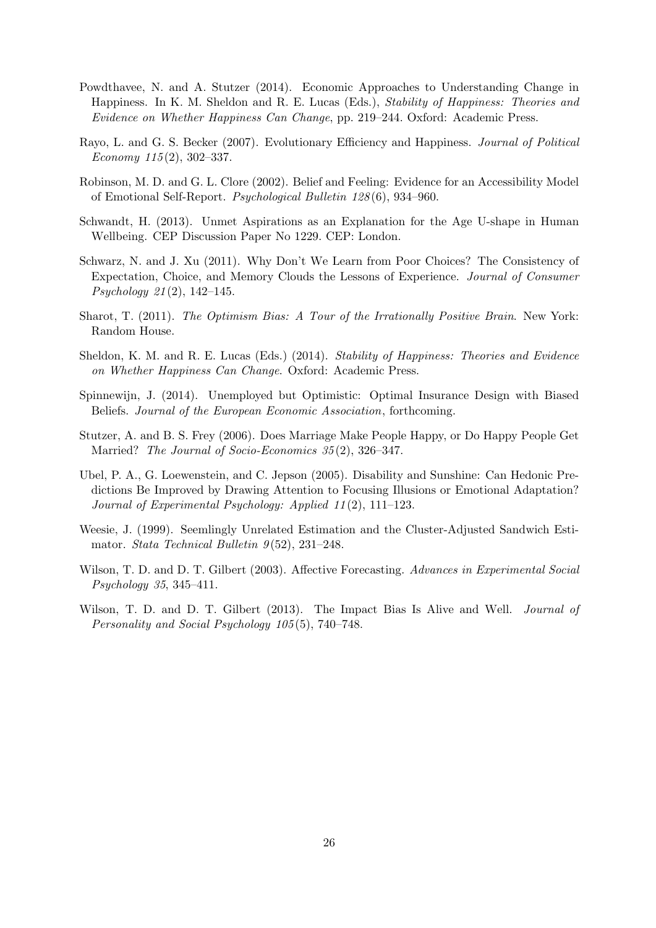- <span id="page-27-1"></span>Powdthavee, N. and A. Stutzer (2014). Economic Approaches to Understanding Change in Happiness. In K. M. Sheldon and R. E. Lucas (Eds.), Stability of Happiness: Theories and Evidence on Whether Happiness Can Change, pp. 219–244. Oxford: Academic Press.
- <span id="page-27-12"></span>Rayo, L. and G. S. Becker (2007). Evolutionary Efficiency and Happiness. Journal of Political Economy  $115(2)$ , 302-337.
- <span id="page-27-10"></span>Robinson, M. D. and G. L. Clore (2002). Belief and Feeling: Evidence for an Accessibility Model of Emotional Self-Report. Psychological Bulletin 128 (6), 934–960.
- <span id="page-27-5"></span>Schwandt, H. (2013). Unmet Aspirations as an Explanation for the Age U-shape in Human Wellbeing. CEP Discussion Paper No 1229. CEP: London.
- <span id="page-27-11"></span>Schwarz, N. and J. Xu (2011). Why Don't We Learn from Poor Choices? The Consistency of Expectation, Choice, and Memory Clouds the Lessons of Experience. Journal of Consumer Psychology 21 (2), 142–145.
- <span id="page-27-6"></span>Sharot, T. (2011). The Optimism Bias: A Tour of the Irrationally Positive Brain. New York: Random House.
- <span id="page-27-2"></span>Sheldon, K. M. and R. E. Lucas (Eds.) (2014). Stability of Happiness: Theories and Evidence on Whether Happiness Can Change. Oxford: Academic Press.
- <span id="page-27-8"></span>Spinnewijn, J. (2014). Unemployed but Optimistic: Optimal Insurance Design with Biased Beliefs. Journal of the European Economic Association, forthcoming.
- <span id="page-27-3"></span>Stutzer, A. and B. S. Frey (2006). Does Marriage Make People Happy, or Do Happy People Get Married? The Journal of Socio-Economics 35(2), 326–347.
- <span id="page-27-9"></span>Ubel, P. A., G. Loewenstein, and C. Jepson (2005). Disability and Sunshine: Can Hedonic Predictions Be Improved by Drawing Attention to Focusing Illusions or Emotional Adaptation? Journal of Experimental Psychology: Applied 11 (2), 111–123.
- <span id="page-27-7"></span>Weesie, J. (1999). Seemlingly Unrelated Estimation and the Cluster-Adjusted Sandwich Estimator. Stata Technical Bulletin  $9(52)$ , 231–248.
- <span id="page-27-0"></span>Wilson, T. D. and D. T. Gilbert (2003). Affective Forecasting. Advances in Experimental Social Psychology 35, 345–411.
- <span id="page-27-4"></span>Wilson, T. D. and D. T. Gilbert (2013). The Impact Bias Is Alive and Well. *Journal of* Personality and Social Psychology 105 (5), 740–748.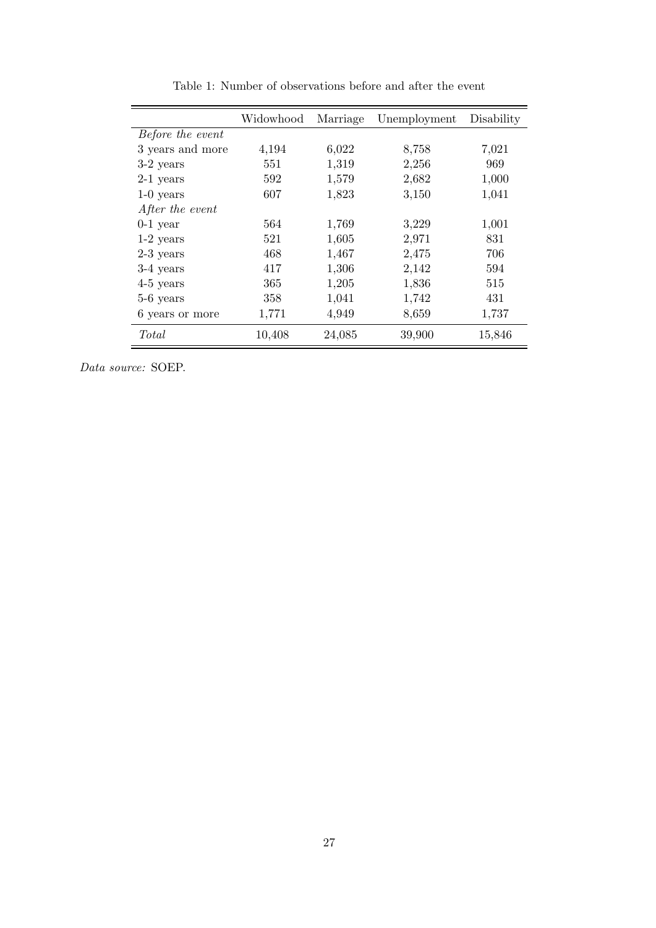|                  | Widowhood | Marriage | Unemployment | Disability |
|------------------|-----------|----------|--------------|------------|
| Before the event |           |          |              |            |
| 3 years and more | 4,194     | 6,022    | 8,758        | 7,021      |
| $3-2$ years      | 551       | 1,319    | 2,256        | 969        |
| $2-1$ years      | 592       | 1,579    | 2,682        | 1,000      |
| $1-0$ years      | 607       | 1,823    | 3,150        | 1,041      |
| After the event  |           |          |              |            |
| $0-1$ year       | 564       | 1,769    | 3,229        | 1,001      |
| $1-2$ years      | 521       | 1,605    | 2,971        | 831        |
| $2-3$ years      | 468       | 1,467    | 2,475        | 706        |
| 3-4 years        | 417       | 1,306    | 2,142        | 594        |
| $4-5$ years      | 365       | 1,205    | 1,836        | 515        |
| 5-6 years        | 358       | 1,041    | 1,742        | 431        |
| 6 years or more  | 1,771     | 4,949    | 8,659        | 1,737      |
| <b>Total</b>     | 10,408    | 24,085   | 39,900       | 15,846     |

Table 1: Number of observations before and after the event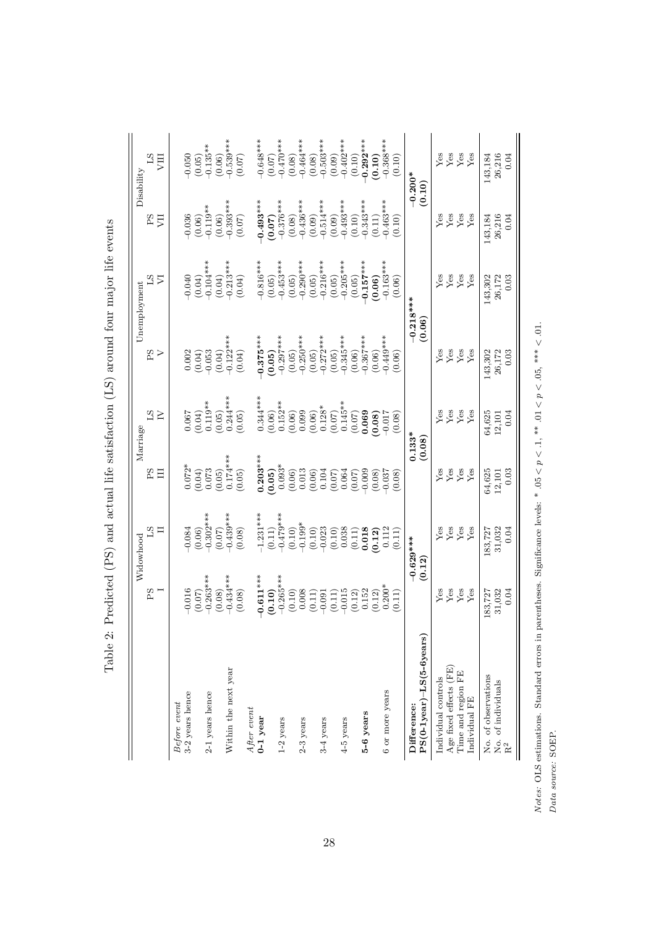| Disability   | 51<br>ΣЦ                    |              | $-0.050$           | $-0.135**$<br>(0.05)  | (0.06) | $-0.539***$<br>(0.07) |             | $-0.648***$ | $-0.470***$<br>(0.07) | (0.08)              | $-0.464***$<br>(0.08) | $-0.503***$ | (0.09) | $-0.402***$ | (0.10)          | $-0.292***$<br>(0.10) | $-0.368***$     | (0.10) | $-0.200*$   |                              | Yes                 | ${\rm Yes}$            | ${\rm Yes}$        | Yes           | 143,184             | 26,216             | 0.04      |
|--------------|-----------------------------|--------------|--------------------|-----------------------|--------|-----------------------|-------------|-------------|-----------------------|---------------------|-----------------------|-------------|--------|-------------|-----------------|-----------------------|-----------------|--------|-------------|------------------------------|---------------------|------------------------|--------------------|---------------|---------------------|--------------------|-----------|
|              | ΒS<br>買                     |              | $-0.036$           | $-0.119**$<br>(0.06)  | (0.06) | $-0.393***$<br>(0.07) |             | $-0.493***$ | $-0.376***$<br>(0.07) | (0.08)              | $-0.436***$<br>(0.09) | $-0.514***$ | (0.09) | $-0.493***$ | (0.10)          | $-0.343***$<br>(0.11) | $-0.463***$     | (0.10) |             | (0.10)                       | Yes                 | ${\rm Yes}$            | Yes                | Yes           | 143,184             | 26,216             | 0.04      |
| Unemployment | $^{21}$<br>$\triangleright$ |              | $-0.040$           | $-0.104***$<br>(0.04) | (0.04) | $-0.213***$<br>(0.04) |             | $-0.816***$ | $-0.453***$<br>(0.05) | (0.05)              | $-0.290***$<br>(0.05) | $-0.216***$ | (0.05) | $-0.205***$ | (0.05)          | $0.157***$<br>(0.06)  | $-0.163***$     | (0.06) |             |                              | Yes                 | ${\rm Yes}$            | Yes                | Yes           | 143,302             | 26,172             | 0.03      |
|              | $_{\rm{sg}}$                |              | 0.002              | $-0.053$<br>(0.04)    | (0.04) | $-0.122***$<br>(0.04) |             | $-0.375***$ | $-0.297***$<br>(0.05) | (0.05)              | $-0.250***$<br>(0.05) | $-0.272***$ | (0.05) | $-0.345***$ | (0.06)          | $-0.367***$<br>(0.06) | $-0.449***$     | (0.06) | $-0.218***$ | (0.06)                       | Yes                 | ${\rm Yes}$            | ${\rm Yes}$        | Yes           | 143,302             | 26,172             | 0.03      |
| Marriage     | 51<br>$\geq$                |              | 0.067              | $0.119**$<br>(0.04)   | (0.05) | $0.244***$<br>(0.05)  |             | $0.344***$  | $0.152***$<br>(0.06)  | $(0.06)$<br>0.099   | (0.06)                | $0.128*$    | (0.07) | $0.145***$  | (0.07)          | 0.069<br>(0.08)       | $-0.017$        | (0.08) | $0.133*$    | (0.08)                       | Yes                 | $Y$ es                 | ${\rm Yes}$        | Yes           | 64,625              | 12,101             | 0.04      |
|              | βS<br>目                     |              | $0.072*$<br>(0.04) | 0.073                 | (0.05) | $0.174***$<br>(0.05)  |             | $0.203***$  | $0.093*$<br>(0.05)    | $(0.06)$<br>$0.013$ | (0.06)                | 0.104       | (0.07) | 0.064       | (0.07)          | $-0.009$<br>(0.08)    | $-0.037$        | (0.08) |             |                              | Yes                 | Yes                    | Yes                | Yes           | 64,625              | 12,101             | 0.03      |
| Widowhood    | $^{2}$<br>Ξ                 |              | $-0.084$           | $-0.302***$<br>(0.06) | (0.07) | $-0.439***$<br>(0.08) |             | $-1.231***$ | $-0.479***$<br>(0.11) | (0.10)              | $-0.199*$<br>(0.10)   | $-0.023$    | (0.10) | 0.038       | (0.11)          | 0.018<br>(0.12)       | 0.112           | (0.11) | $-0.629***$ |                              | Yes                 | $Y$ es                 | Yes                | Yes           | 183,727             | 31,032             | 0.04      |
|              | βS                          |              | $-0.016$           | $-0.263***$<br>(0.07) | (0.08) | $-0.434***$<br>(0.08) |             | $0.611***$  | $-0.265***$<br>(0.10) | $(0.10)$<br>0.008   | (0.11)                | $-0.091$    | (0.11) | $-0.015$    | 0.152<br>(0.12) | (0.12)                | $0.200*$        | (0.11) |             | (0.12)                       | Yes                 | Yes                    | ${\rm Yes}$        | Yes           | 183,727             | 31,032             | 0.04      |
|              |                             | Before event | 3-2 years hence    | 2-1 years hence       |        | Within the next year  | After event | $0-1$ year  | $1-2$ years           |                     | $2-3\ \mathrm{years}$ | 3-4 years   |        | $4-5$ years |                 | 5-6 years             | 6 or more years |        | Difference: | $PS(0-1year) - LS(5-6years)$ | Individual controls | Age fixed effects (FE) | Time and region FE | Individual FE | No. of observations | No. of individuals | $\rm R^2$ |

Notes: OLS estimations. Standard errors in parentheses. Significance levels: \* .05 <  $p$  < .1, \*\* .01 <  $p$  < .05, \*\*\* < .01. Notes: OLS estimations. Standard errors in parentheses. Significance levels:  $*$  .05  $\lt p \lt 1$ ,  $**$  .01  $\lt p \lt 0$ , 05,  $** \lt 0$ .1.

Data source: SOEP. Data source: SOEP.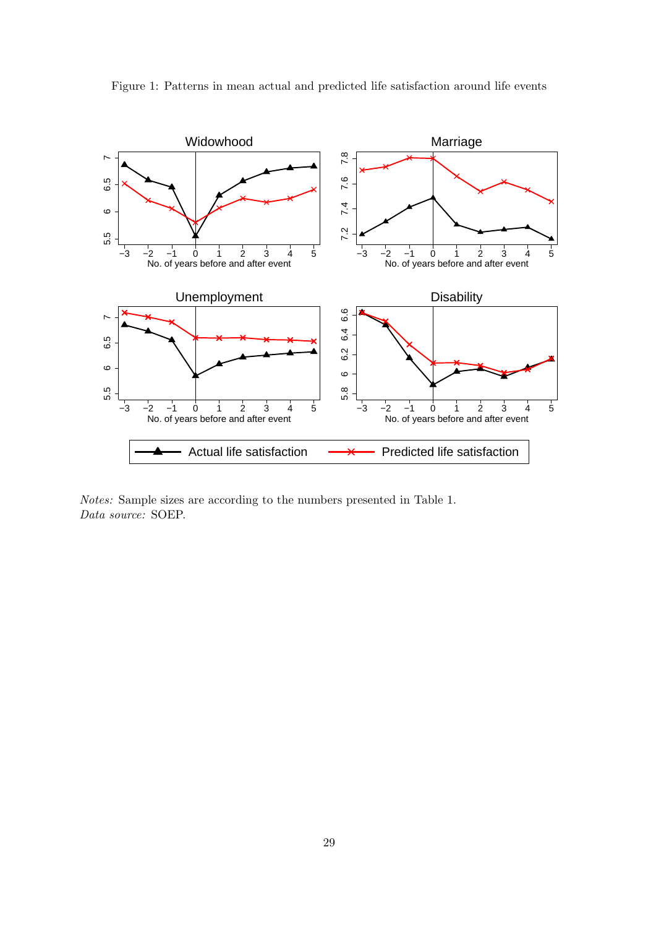

Figure 1: Patterns in mean actual and predicted life satisfaction around life events

Notes: Sample sizes are according to the numbers presented in Table 1. Data source: SOEP.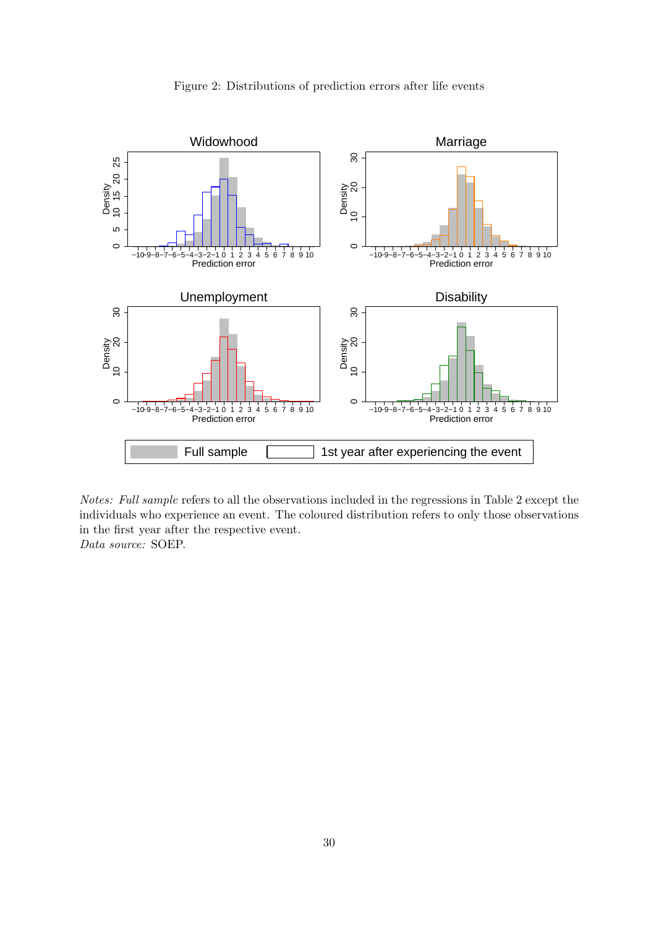

Figure 2: Distributions of prediction errors after life events

Notes: Full sample refers to all the observations included in the regressions in Table 2 except the individuals who experience an event. The coloured distribution refers to only those observations in the first year after the respective event. Data source: SOEP.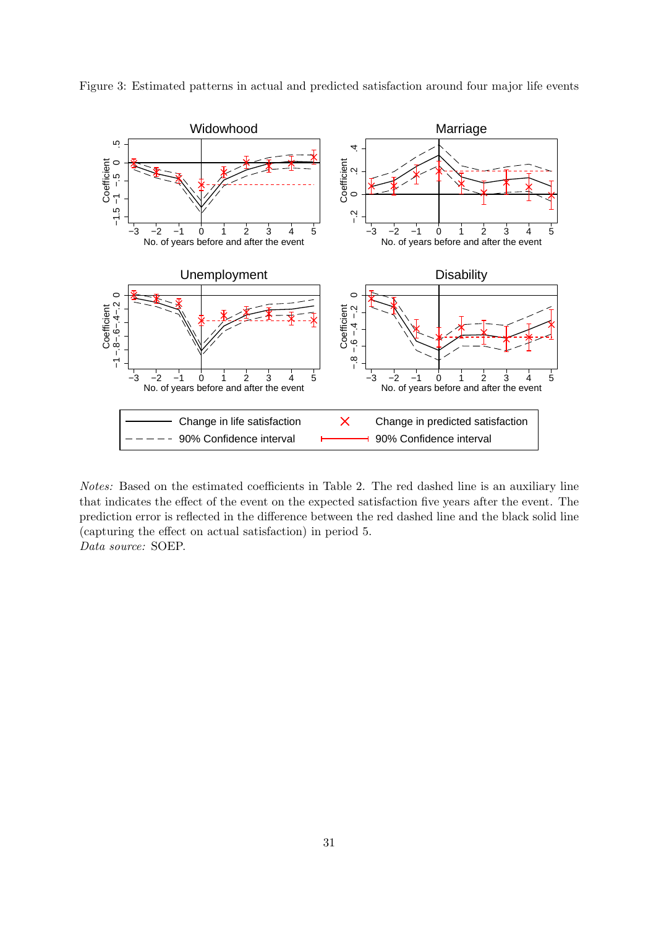

Figure 3: Estimated patterns in actual and predicted satisfaction around four major life events

Notes: Based on the estimated coefficients in Table 2. The red dashed line is an auxiliary line that indicates the effect of the event on the expected satisfaction five years after the event. The prediction error is reflected in the difference between the red dashed line and the black solid line (capturing the effect on actual satisfaction) in period 5. Data source: SOEP.

31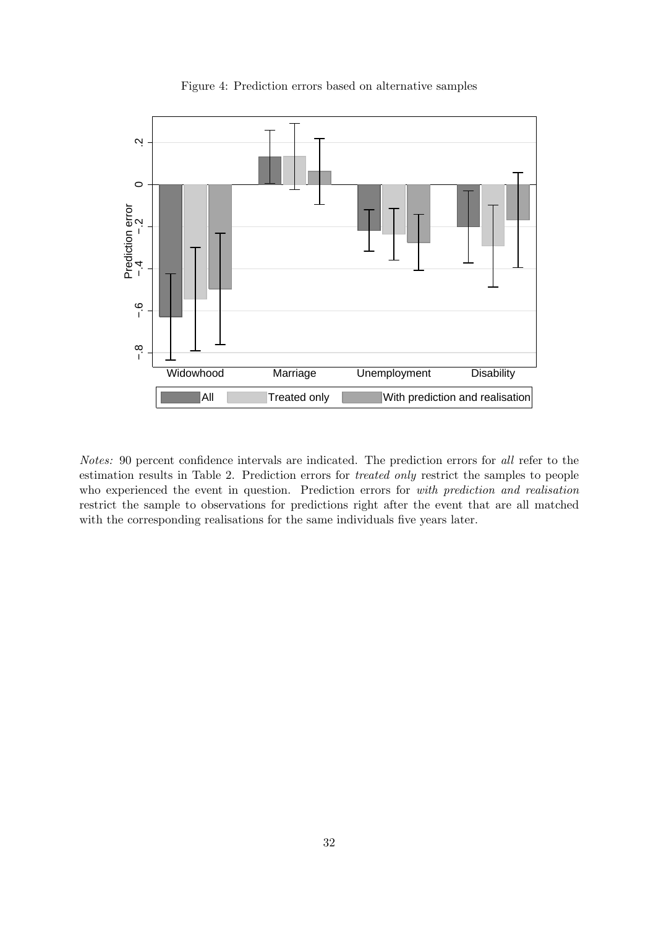Figure 4: Prediction errors based on alternative samples



Notes: 90 percent confidence intervals are indicated. The prediction errors for all refer to the estimation results in Table 2. Prediction errors for treated only restrict the samples to people who experienced the event in question. Prediction errors for with prediction and realisation restrict the sample to observations for predictions right after the event that are all matched with the corresponding realisations for the same individuals five years later.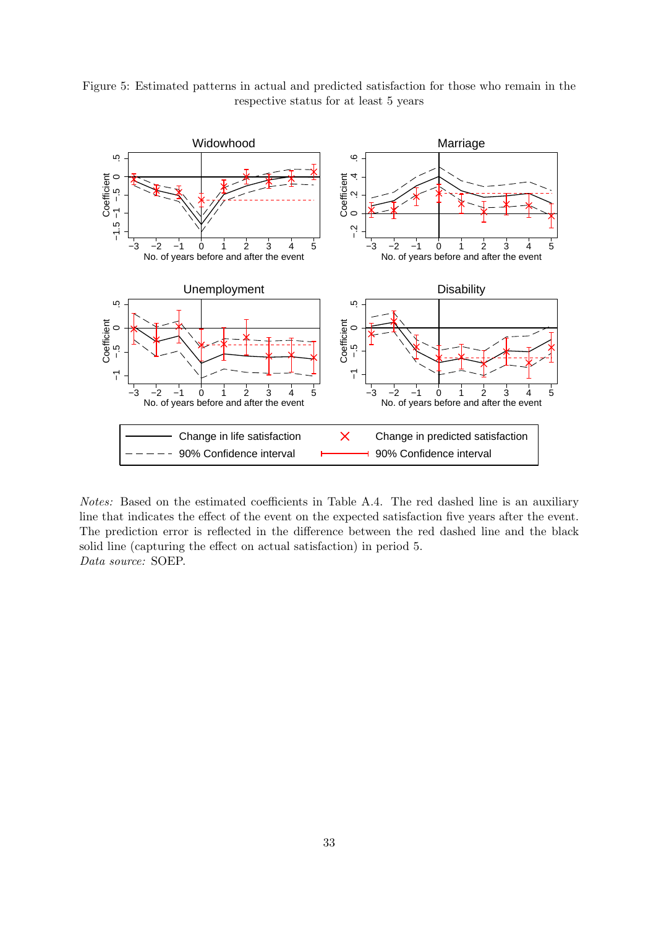Figure 5: Estimated patterns in actual and predicted satisfaction for those who remain in the respective status for at least 5 years



Notes: Based on the estimated coefficients in Table A.4. The red dashed line is an auxiliary line that indicates the effect of the event on the expected satisfaction five years after the event. The prediction error is reflected in the difference between the red dashed line and the black solid line (capturing the effect on actual satisfaction) in period 5. Data source: SOEP.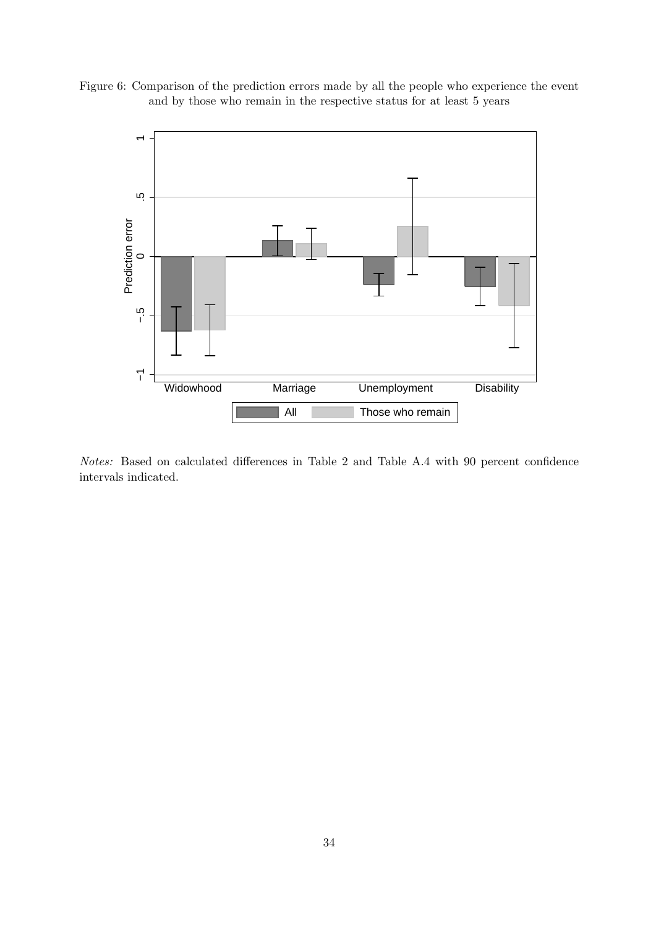



Notes: Based on calculated differences in Table 2 and Table A.4 with 90 percent confidence intervals indicated.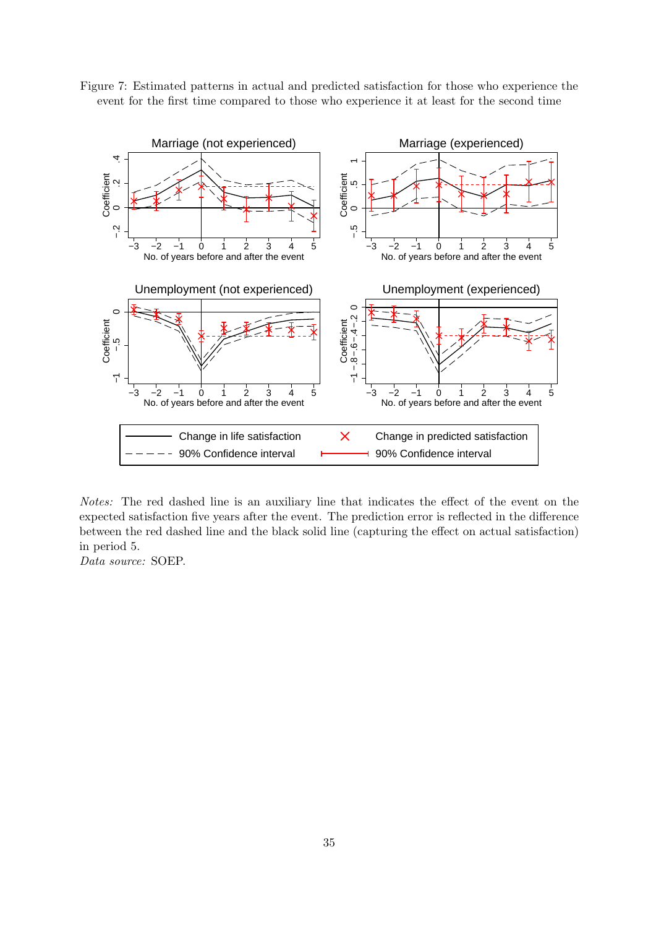

Figure 7: Estimated patterns in actual and predicted satisfaction for those who experience the event for the first time compared to those who experience it at least for the second time

Notes: The red dashed line is an auxiliary line that indicates the effect of the event on the expected satisfaction five years after the event. The prediction error is reflected in the difference between the red dashed line and the black solid line (capturing the effect on actual satisfaction) in period 5.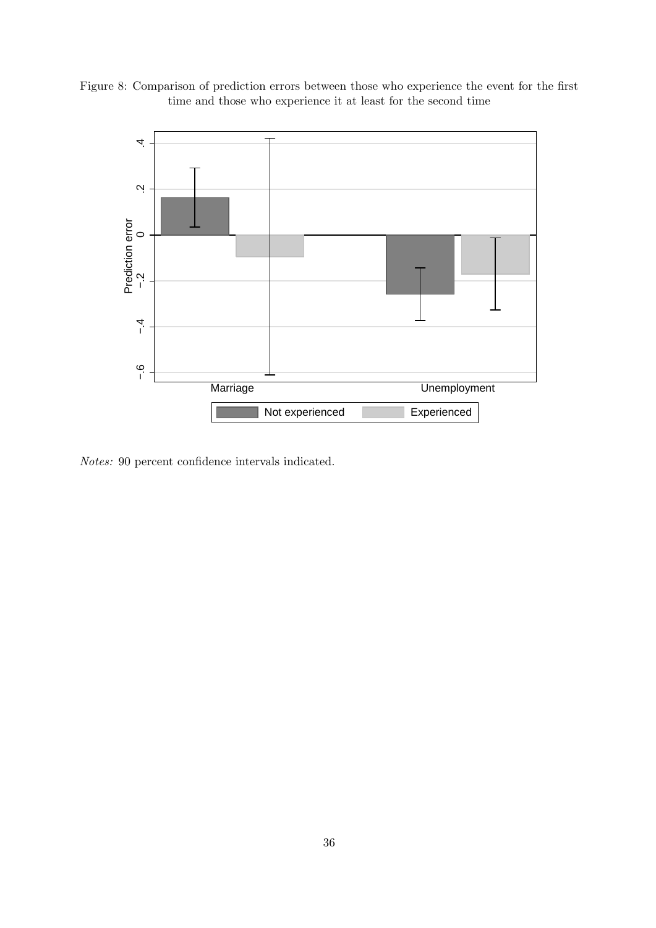



Notes: 90 percent confidence intervals indicated.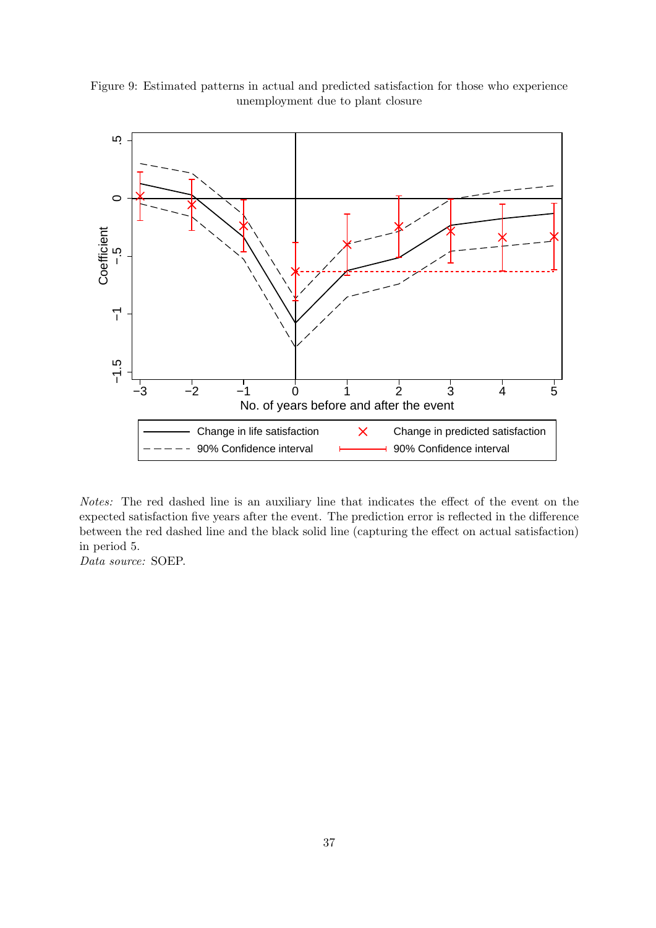Figure 9: Estimated patterns in actual and predicted satisfaction for those who experience unemployment due to plant closure



Notes: The red dashed line is an auxiliary line that indicates the effect of the event on the expected satisfaction five years after the event. The prediction error is reflected in the difference between the red dashed line and the black solid line (capturing the effect on actual satisfaction) in period 5.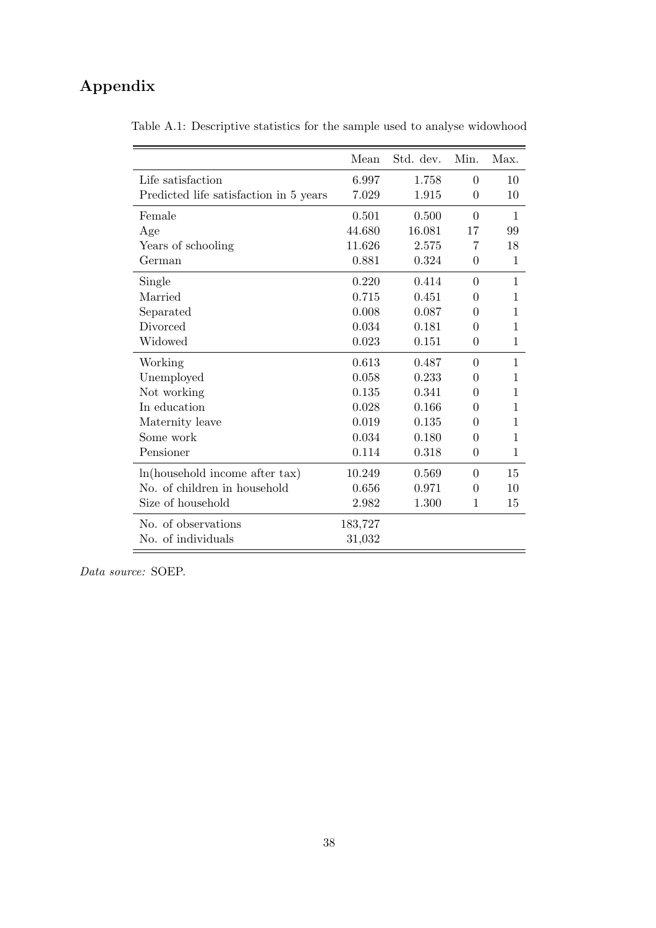# Appendix

|                                        | Mean    | Std. dev. | Min.           | Max.         |
|----------------------------------------|---------|-----------|----------------|--------------|
| Life satisfaction                      | 6.997   | 1.758     | $\theta$       | 10           |
| Predicted life satisfaction in 5 years | 7.029   | 1.915     | $\theta$       | 10           |
| Female                                 | 0.501   | 0.500     | $\Omega$       | $\mathbf{1}$ |
| Age                                    | 44.680  | 16.081    | 17             | 99           |
| Years of schooling                     | 11.626  | 2.575     | 7              | 18           |
| German                                 | 0.881   | 0.324     | $\Omega$       | $\mathbf{1}$ |
| Single                                 | 0.220   | 0.414     | $\Omega$       | $\mathbf{1}$ |
| Married                                | 0.715   | 0.451     | 0              | 1            |
| Separated                              | 0.008   | 0.087     | 0              | 1            |
| Divorced                               | 0.034   | 0.181     | 0              | 1            |
| Widowed                                | 0.023   | 0.151     | $\overline{0}$ | $\mathbf{1}$ |
| Working                                | 0.613   | 0.487     | $\theta$       | $\mathbf{1}$ |
| Unemployed                             | 0.058   | 0.233     | $\theta$       | 1            |
| Not working                            | 0.135   | 0.341     | 0              | 1            |
| In education                           | 0.028   | 0.166     | $\Omega$       | 1            |
| Maternity leave                        | 0.019   | 0.135     | 0              | 1            |
| Some work                              | 0.034   | 0.180     | 0              | 1            |
| Pensioner                              | 0.114   | 0.318     | $\theta$       | $\mathbf{1}$ |
| $ln(household\ income\ after\ tax)$    | 10.249  | 0.569     | $\Omega$       | 15           |
| No. of children in household           | 0.656   | 0.971     | 0              | 10           |
| Size of household                      | 2.982   | 1.300     | 1              | 15           |
| No. of observations                    | 183,727 |           |                |              |
| No. of individuals                     | 31,032  |           |                |              |

Table A.1: Descriptive statistics for the sample used to analyse widowhood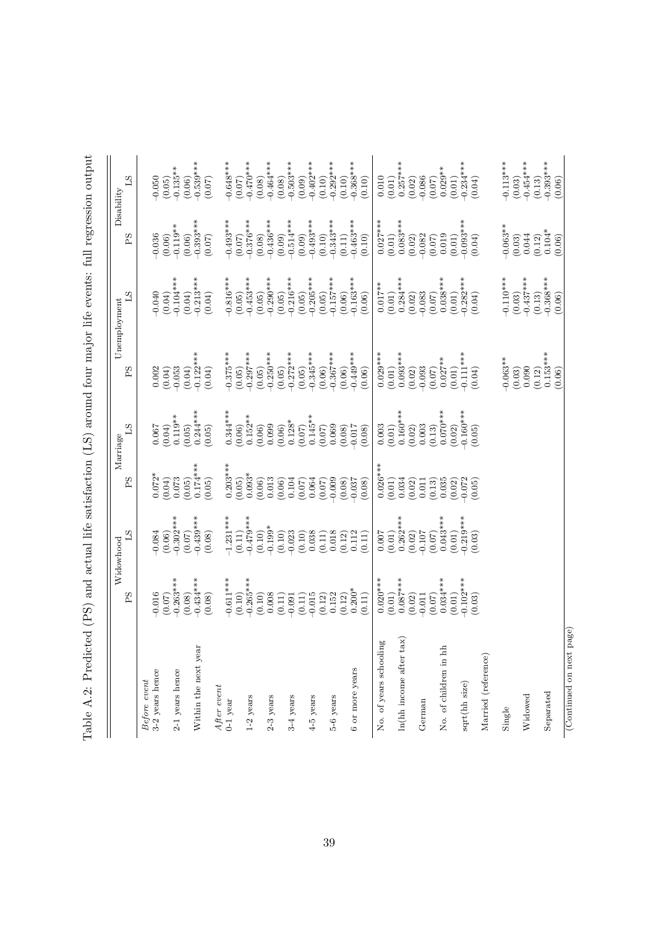| ï                                               |
|-------------------------------------------------|
|                                                 |
|                                                 |
| i<br>!                                          |
|                                                 |
|                                                 |
|                                                 |
| くしょ                                             |
| $\sim$ $\sim$<br>i<br>I<br>ļ<br>ׇ֘֝֬֕<br>I<br>I |
| ֠<br>֚֘<br>l<br>j<br>ׇ֘֒                        |

|                                 |                       | Widowhood             |                      | Marriage              |                       | Unemployment          |                       | Disability            |
|---------------------------------|-----------------------|-----------------------|----------------------|-----------------------|-----------------------|-----------------------|-----------------------|-----------------------|
|                                 | Sd                    | $^{21}$               | ΒS                   | $^{21}$               | $_{\rm PS}$           | $^{21}$               | ΡS                    | $^{21}$               |
| 3-2 years hence<br>Before event | $-0.016$              | $-0.084$              | $0.072*$             | $0.067\,$             | 0.002                 | $-0.040$              | $-0.036$              | $-0.050$              |
|                                 | (0.07)                | (0.06)                | (0.04)               | (0.04)                | (0.04)                | (0.04)                | (0.06)                | (0.05)                |
| 2-1 years hence                 | $-0.263***$           | $-0.302***$           | 0.073                | $0.119**$             | $-0.053$              | $-0.104***$           | $-0.119**$            | $-0.135**$            |
| Within the next year            | $-0.434***$<br>(0.08) | $-0.439***$<br>(0.07) | $0.174***$<br>(0.05) | $0.244***$<br>(0.05)  | $-0.122***$<br>(0.04) | $-0.213***$<br>(0.04) | $-0.393***$<br>(0.06) | $-0.539***$<br>(0.06) |
|                                 | (0.08)                | (0.08)                | (0.05)               | (0.05)                | (0.04)                | (0.04)                | (0.07)                | (0.07)                |
| $\label{thm:iter} After\ event$ | $-0.611***$           | $-1.231***$           |                      |                       | $-0.375***$           |                       |                       |                       |
| $0-1$ year                      | (0.10)                | (0.11)                | $0.203***$<br>(0.05) | $0.344***$<br>(0.06)  | (0.05)                | $-0.816***$<br>(0.05) | $-0.493***$<br>(0.07) | $-0.648***$<br>(0.07) |
| 1-2 years                       | $-0.265***$           | $-0.479***$           | $0.093*$             | $0.152**$             | $-0.297***$           | $-0.453***$           | $-0.376***$           | $-0.470***$           |
|                                 | (0.10)                | (0.10)                | (0.06)               | (0.06)                | (0.05)                | (0.05)                | (0.08)                | (0.08)                |
| $2-3$ years                     | 0.008<br>(0.11)       | $-0.199*$<br>(0.10)   | 0.013<br>(0.06)      | 0.099<br>(0.06)       | $-0.250***$<br>(0.05) | $-0.290***$<br>(0.05) | $-0.436***$<br>(0.09) | $-0.464***$<br>(0.08) |
| 3-4 years                       | $-0.091$              | $-0.023$              | 0.104                | $0.128*$              | $-0.272***$           | $-0.216***$           | $-0.514***$           | $-0.503***$           |
|                                 | (0.11)                | (0.10)                | (0.07)               | (0.07)                | (0.05)                | (0.05)                | (0.09)                | (0.09)                |
| $4-5$ years                     | $-0.015$              | 0.038                 | 0.064                | $0.145**$             | $-0.345***$           | $-0.205***$           | $-0.493***$           | $-0.402***$           |
|                                 | (0.12)                | 0.018<br>(0.11)       | $-0.009$<br>(0.07)   | (0.07)                | $-0.367***$<br>(0.06) | (0.05)                | $-0.343***$<br>(0.10) | (0.10)                |
| 5-6 years                       | 0.152<br>(0.12)       | (0.12)                | (0.08)               | 0.069<br>(0.08)       | (0.06)                | $-0.157***$<br>(0.06) | (0.11)                | $-0.292***$<br>(0.10) |
| 6 or more years                 | $0.200*$              | 0.112                 | $-0.037$             | -0.017                | $-0.449***$           | $-0.163***$           | $-0.463***$           | $-0.368***$           |
|                                 | (0.11)                | (0.11)                | (0.08)               | (0.08)                | (0.06)                | (0.06)                | (0.10)                | (0.10)                |
| No. of years schooling          | $0.020***$            | 0.007                 | $0.026***$           | 0.003                 | $0.029***$            | $0.017***$            | $0.027***$            | 0.010                 |
| In(hh income after tax)         | $0.087***$<br>(0.01)  | $0.262***$<br>(0.01)  | 0.034<br>(0.01)      | $0.160***$<br>(0.01)  | $0.093***$<br>(0.01)  | $0.284***$<br>(0.01)  | $0.083***$<br>(0.01)  | $0.257***$<br>(0.01)  |
|                                 | (0.02)                | (0.02)                | (0.02)               | (0.02)                | (0.02)                | (0.02)                | (0.02)                | (0.02)                |
| German                          | $-0.011$              | $-0.107$              | 0.011                | 0.003                 | $-0.093$              | $-0.083$              | $-0.082$              | $-0.086$              |
|                                 | (0.07)                | (0.07)                | (0.13)               | (0.13)                | (0.07)                | (0.07)                | (0.07)                | (0.07)                |
| No. of children in hh           | $0.034***$<br>(0.01)  | $0.043***$            | 0.035<br>(0.02)      | $0.070***$            | $0.027**$             | $0.038***$<br>(0.01)  | 0.019                 | $0.029**$             |
| sqrt(hh size)                   | $-0.102***$           | $-0.219***$<br>(0.01) | $-0.072$             | $-0.160***$<br>(0.02) | $-0.111***$<br>(0.01) | $-0.282***$           | $-0.093***$<br>(0.01) | $-0.234***$<br>(0.01) |
|                                 | (0.03)                | (0.03)                | (0.05)               | (0.05)                | (0.04)                | (0.04)                | (0.04)                | (0.04)                |
| Married (reference)             |                       |                       |                      |                       |                       |                       |                       |                       |
| Single                          |                       |                       |                      |                       | $-0.063**$            | $-0.110***$           | $-0.063**$            | $-0.113***$           |
|                                 |                       |                       |                      |                       | (0.03)                | (0.03)                | (0.03)                | (0.03)                |
| Widowed                         |                       |                       |                      |                       | 0.090                 | $-0.437***$           | 0.044                 | $-0.454***$           |
| Separated                       |                       |                       |                      |                       | $0.153***$<br>(0.12)  | $-0.368***$<br>(0.13) | $0.104*$<br>(0.12)    | $-0.393***$<br>(0.13) |
|                                 |                       |                       |                      |                       | (0.06)                | (0.06)                | (0.06)                | (0.06)                |
| (Continued on next page)        |                       |                       |                      |                       |                       |                       |                       |                       |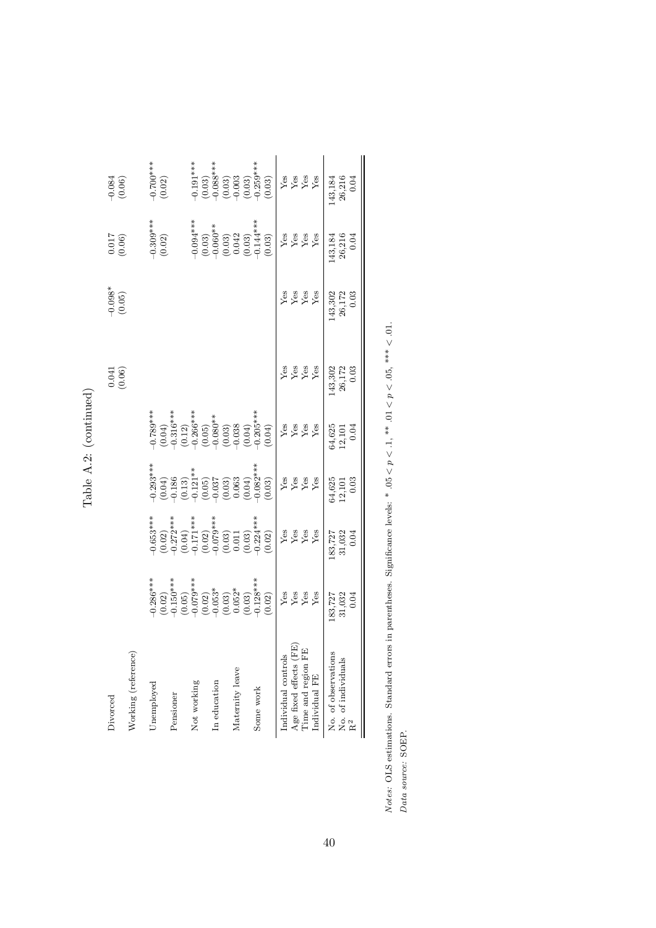| Divorced                                                                             |                                                                                                                                                                                                                                                                                                                                        |                                                                                                                                                                                                                                                                                                                                                                                                    |                                                                                |                          | (0.041)                    | $-0.098*$<br>(0.05)                 | (90.0)                                                                                                                                                                                                                                                                                                                                                                                          | (0.06)                                                   |
|--------------------------------------------------------------------------------------|----------------------------------------------------------------------------------------------------------------------------------------------------------------------------------------------------------------------------------------------------------------------------------------------------------------------------------------|----------------------------------------------------------------------------------------------------------------------------------------------------------------------------------------------------------------------------------------------------------------------------------------------------------------------------------------------------------------------------------------------------|--------------------------------------------------------------------------------|--------------------------|----------------------------|-------------------------------------|-------------------------------------------------------------------------------------------------------------------------------------------------------------------------------------------------------------------------------------------------------------------------------------------------------------------------------------------------------------------------------------------------|----------------------------------------------------------|
| Working (reference)                                                                  |                                                                                                                                                                                                                                                                                                                                        |                                                                                                                                                                                                                                                                                                                                                                                                    |                                                                                |                          |                            |                                     |                                                                                                                                                                                                                                                                                                                                                                                                 |                                                          |
| Unemployed<br>Pensioner                                                              |                                                                                                                                                                                                                                                                                                                                        |                                                                                                                                                                                                                                                                                                                                                                                                    |                                                                                |                          |                            |                                     | $-0.309***$<br>(0.02)                                                                                                                                                                                                                                                                                                                                                                           | $-0.700***$<br>(0.02)                                    |
| Not working                                                                          |                                                                                                                                                                                                                                                                                                                                        |                                                                                                                                                                                                                                                                                                                                                                                                    |                                                                                |                          |                            |                                     |                                                                                                                                                                                                                                                                                                                                                                                                 |                                                          |
| In education                                                                         |                                                                                                                                                                                                                                                                                                                                        |                                                                                                                                                                                                                                                                                                                                                                                                    |                                                                                |                          |                            |                                     |                                                                                                                                                                                                                                                                                                                                                                                                 |                                                          |
| Maternity leave<br>Some work                                                         | $\begin{array}{l} 286^{***} \\ 726^{***} \\ (0.02) \\ (0.05) \\ (0.05) \\ (0.07) \\ (0.07) \\ (0.07) \\ (0.03) \\ (0.03) \\ (0.03) \\ (0.03) \\ (0.03) \\ (0.03) \\ (0.02) \\ (0.01) \\ (0.02) \\ (0.01) \\ (0.02) \\ (0.03) \\ (0.01) \\ (0.02) \\ (0.03) \\ (0.01) \\ (0.02) \\ (0.03) \\ (0.03) \\ (0.01) \\ (0.02) \\ (0.03) \\ ($ | $\begin{array}{l} \mathbf{0.653}^{***} \\ \mathbf{0.02}^{***} \\ \mathbf{0.272}^{***} \\ \mathbf{0.371}^{***} \\ \mathbf{0.373}^{***} \\ \mathbf{0.471}^{***} \\ \mathbf{0.573}^{***} \\ \mathbf{0.673}^{***} \\ \mathbf{0.773}^{***} \\ \mathbf{0.773}^{***} \\ \mathbf{0.773}^{***} \\ \mathbf{0.773}^{***} \\ \mathbf{0.773}^{***} \\ \mathbf{0.773}^{***} \\ \mathbf{0.773}^{***} \\ \mathbf{$ |                                                                                |                          |                            |                                     | $\begin{array}{l} \mathbf{7.36} \\ \mathbf{8.47} \\ \mathbf{9.58} \\ \mathbf{1.38} \\ \mathbf{1.48} \\ \mathbf{1.59} \\ \mathbf{1.60} \\ \mathbf{1.70} \\ \mathbf{1.81} \\ \mathbf{1.44} \\ \mathbf{1.45} \\ \mathbf{1.46} \\ \mathbf{1.50} \\ \mathbf{1.60} \\ \mathbf{1.70} \\ \mathbf{1.87} \\ \mathbf{1.88} \\ \mathbf{1.90} \\ \mathbf{1.91} \\ \mathbf{1.91} \\ \mathbf{1.92} \\ \mathbf$ |                                                          |
|                                                                                      |                                                                                                                                                                                                                                                                                                                                        |                                                                                                                                                                                                                                                                                                                                                                                                    |                                                                                |                          |                            |                                     |                                                                                                                                                                                                                                                                                                                                                                                                 |                                                          |
| Age fixed effects (FE)<br>Time and region FE<br>Individual controls<br>Individual FE | Yes<br>Yes<br>Yes                                                                                                                                                                                                                                                                                                                      | $\begin{array}{c}\nY_{\text{BS}}\\ Y_{\text{BS}}\\ Y_{\text{BS}}\n\end{array}$                                                                                                                                                                                                                                                                                                                     | $\begin{array}{c}\nY_{\text{BS}}\\ Y_{\text{BS}}\\ Y_{\text{BS}}\n\end{array}$ | $Yes$<br>$Yes$<br>$Yes$  | yes<br>Yes<br>Yes          | $X$ $X$ $X$ $Y$ $Y$ $Y$ $Y$ $Y$ $Y$ | $Yes$<br>$Yes$<br>$Yes$                                                                                                                                                                                                                                                                                                                                                                         | Yes<br>Yes<br>Yes                                        |
| No. of observations<br>No. of individuals                                            | 183,727<br>31,032<br>0.04                                                                                                                                                                                                                                                                                                              | 183,727<br>31,032<br>0.04                                                                                                                                                                                                                                                                                                                                                                          | $\frac{54,625}{12,101}$                                                        | 64,625<br>12,101<br>0.04 | 43,302<br>$26,172$<br>0.03 | $26,172$<br>0.03<br>143,302         | $\frac{26,216}{0.04}$<br>143,184                                                                                                                                                                                                                                                                                                                                                                | $\begin{array}{c} 143,184 \\ 26,216 \\ 0.04 \end{array}$ |

| j<br>$* * *$<br>J, J,<br>c<br>**<br>ł.                  |                                        |
|---------------------------------------------------------|----------------------------------------|
| .<br>.<br>.                                             |                                        |
|                                                         |                                        |
| ١<br>֖֖֖֖֖ׅׅׅ֖ׅ֖֧֧֚֚֚֚֚֚֚֚֚֚֚֚֚֚֚֚֚֚֚֚֡֬֝֓֓֝֬֝֓֞֝֓֞֓֞֝֬ | $\frac{1}{2}$<br>í<br>ł<br>Ì<br>ļ<br>ì |

Table A.2: (continued) Table A.2: (continued)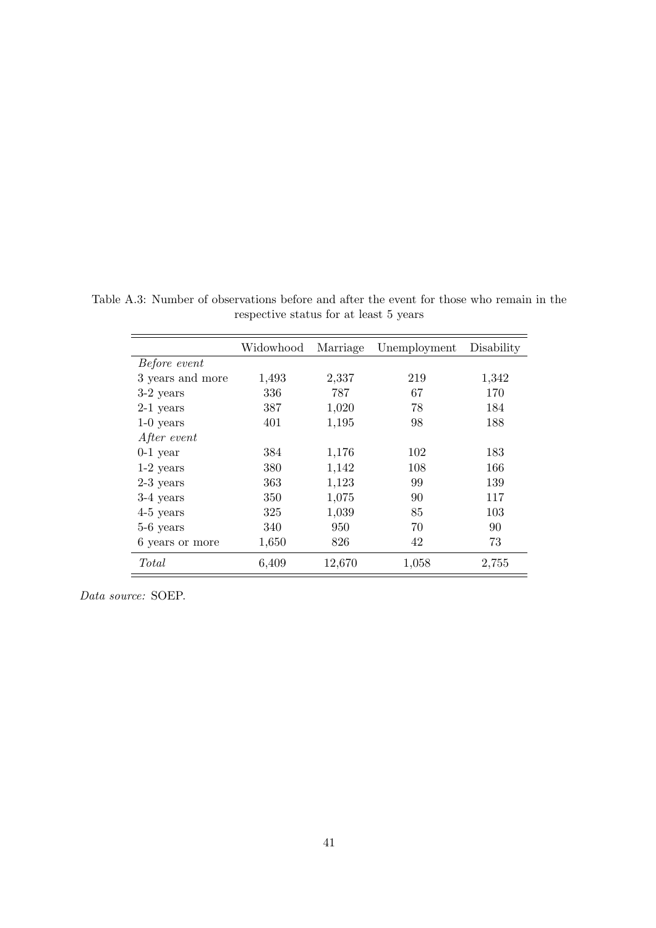|                  | Widowhood | Marriage | Unemployment | Disability |
|------------------|-----------|----------|--------------|------------|
| Before event     |           |          |              |            |
| 3 years and more | 1,493     | 2,337    | 219          | 1,342      |
| $3-2$ years      | 336       | 787      | 67           | 170        |
| $2-1$ years      | 387       | 1,020    | 78           | 184        |
| $1-0$ years      | 401       | 1,195    | 98           | 188        |
| After event      |           |          |              |            |
| $0-1$ year       | 384       | 1,176    | 102          | 183        |
| $1-2$ years      | 380       | 1,142    | 108          | 166        |
| $2-3$ years      | 363       | 1,123    | 99           | 139        |
| 3-4 years        | 350       | 1,075    | 90           | 117        |
| $4-5$ years      | 325       | 1,039    | 85           | 103        |
| 5-6 years        | 340       | 950      | 70           | 90         |
| 6 years or more  | 1,650     | 826      | 42           | 73         |
| Total            | 6,409     | 12,670   | 1,058        | 2,755      |

Table A.3: Number of observations before and after the event for those who remain in the respective status for at least 5 years